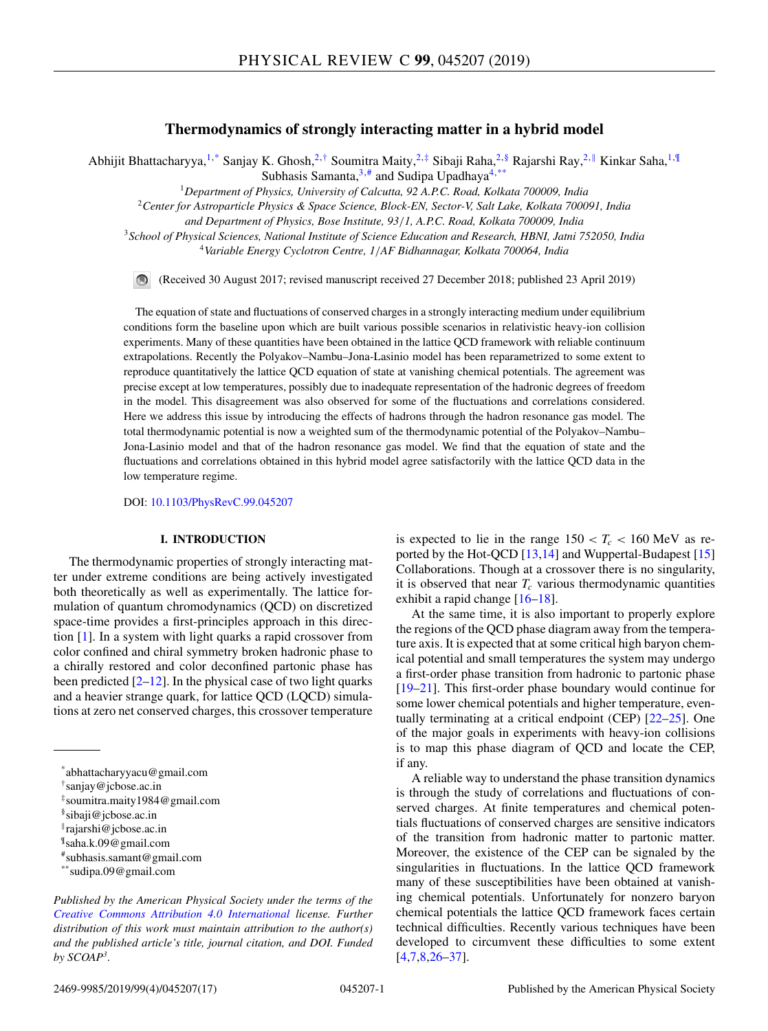# **Thermodynamics of strongly interacting matter in a hybrid model**

Abhijit Bhattacharyya,<sup>1,\*</sup> Sanjay K. Ghosh,<sup>2,†</sup> Soumitra Maity,<sup>2,‡</sup> Sibaji Raha,<sup>2,§</sup> Rajarshi Ray,<sup>2,∥</sup> Kinkar Saha,<sup>1,¶</sup> Subhasis Samanta,  $3,$ # and Sudipa Upadhaya $4$ ,\*\*

<sup>1</sup>*Department of Physics, University of Calcutta, 92 A.P.C. Road, Kolkata 700009, India*

<sup>2</sup>*Center for Astroparticle Physics & Space Science, Block-EN, Sector-V, Salt Lake, Kolkata 700091, India*

*and Department of Physics, Bose Institute, 93*/*1, A.P.C. Road, Kolkata 700009, India*

<sup>3</sup>*School of Physical Sciences, National Institute of Science Education and Research, HBNI, Jatni 752050, India* <sup>4</sup>*Variable Energy Cyclotron Centre, 1*/*AF Bidhannagar, Kolkata 700064, India*

(Received 30 August 2017; revised manuscript received 27 December 2018; published 23 April 2019)  $\bigcirc$ 

The equation of state and fluctuations of conserved charges in a strongly interacting medium under equilibrium conditions form the baseline upon which are built various possible scenarios in relativistic heavy-ion collision experiments. Many of these quantities have been obtained in the lattice QCD framework with reliable continuum extrapolations. Recently the Polyakov–Nambu–Jona-Lasinio model has been reparametrized to some extent to reproduce quantitatively the lattice QCD equation of state at vanishing chemical potentials. The agreement was precise except at low temperatures, possibly due to inadequate representation of the hadronic degrees of freedom in the model. This disagreement was also observed for some of the fluctuations and correlations considered. Here we address this issue by introducing the effects of hadrons through the hadron resonance gas model. The total thermodynamic potential is now a weighted sum of the thermodynamic potential of the Polyakov–Nambu– Jona-Lasinio model and that of the hadron resonance gas model. We find that the equation of state and the fluctuations and correlations obtained in this hybrid model agree satisfactorily with the lattice QCD data in the low temperature regime.

DOI: [10.1103/PhysRevC.99.045207](https://doi.org/10.1103/PhysRevC.99.045207)

## **I. INTRODUCTION**

The thermodynamic properties of strongly interacting matter under extreme conditions are being actively investigated both theoretically as well as experimentally. The lattice formulation of quantum chromodynamics (QCD) on discretized space-time provides a first-principles approach in this direction [\[1\]](#page-13-0). In a system with light quarks a rapid crossover from color confined and chiral symmetry broken hadronic phase to a chirally restored and color deconfined partonic phase has been predicted  $[2-12]$ . In the physical case of two light quarks and a heavier strange quark, for lattice QCD (LQCD) simulations at zero net conserved charges, this crossover temperature

*Published by the American Physical Society under the terms of the [Creative Commons Attribution 4.0 International](https://creativecommons.org/licenses/by/4.0/) license. Further distribution of this work must maintain attribution to the author(s) and the published article's title, journal citation, and DOI. Funded by SCOAP3.*

is expected to lie in the range  $150 < T_c < 160$  MeV as reported by the Hot-QCD [\[13,14\]](#page-13-0) and Wuppertal-Budapest [\[15\]](#page-14-0) Collaborations. Though at a crossover there is no singularity, it is observed that near  $T_c$  various thermodynamic quantities exhibit a rapid change [\[16–18\]](#page-14-0).

At the same time, it is also important to properly explore the regions of the QCD phase diagram away from the temperature axis. It is expected that at some critical high baryon chemical potential and small temperatures the system may undergo a first-order phase transition from hadronic to partonic phase [\[19–21\]](#page-14-0). This first-order phase boundary would continue for some lower chemical potentials and higher temperature, eventually terminating at a critical endpoint (CEP) [\[22–25\]](#page-14-0). One of the major goals in experiments with heavy-ion collisions is to map this phase diagram of QCD and locate the CEP, if any.

A reliable way to understand the phase transition dynamics is through the study of correlations and fluctuations of conserved charges. At finite temperatures and chemical potentials fluctuations of conserved charges are sensitive indicators of the transition from hadronic matter to partonic matter. Moreover, the existence of the CEP can be signaled by the singularities in fluctuations. In the lattice QCD framework many of these susceptibilities have been obtained at vanishing chemical potentials. Unfortunately for nonzero baryon chemical potentials the lattice QCD framework faces certain technical difficulties. Recently various techniques have been developed to circumvent these difficulties to some extent [\[4,7,8](#page-13-0)[,26–37\]](#page-14-0).

<sup>\*</sup>abhattacharyyacu@gmail.com

<sup>†</sup>sanjay@jcbose.ac.in

<sup>‡</sup>soumitra.maity1984@gmail.com

<sup>§</sup>sibaji@jcbose.ac.in

<sup>-</sup>rajarshi@jcbose.ac.in

<sup>¶</sup> saha.k.09@gmail.com

<sup>#</sup>subhasis.samant@gmail.com

<sup>\*\*</sup>sudipa.09@gmail.com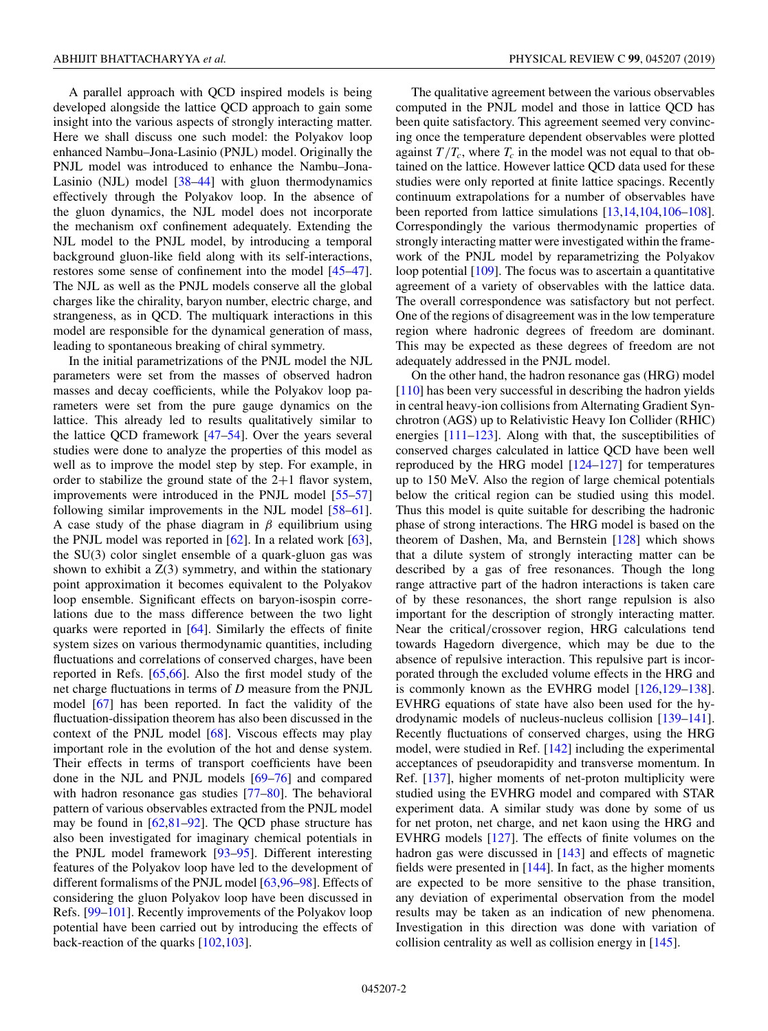A parallel approach with QCD inspired models is being developed alongside the lattice QCD approach to gain some insight into the various aspects of strongly interacting matter. Here we shall discuss one such model: the Polyakov loop enhanced Nambu–Jona-Lasinio (PNJL) model. Originally the PNJL model was introduced to enhance the Nambu–Jona-Lasinio (NJL) model [\[38–44\]](#page-14-0) with gluon thermodynamics effectively through the Polyakov loop. In the absence of the gluon dynamics, the NJL model does not incorporate the mechanism oxf confinement adequately. Extending the NJL model to the PNJL model, by introducing a temporal background gluon-like field along with its self-interactions, restores some sense of confinement into the model [\[45–47\]](#page-14-0). The NJL as well as the PNJL models conserve all the global charges like the chirality, baryon number, electric charge, and strangeness, as in QCD. The multiquark interactions in this model are responsible for the dynamical generation of mass, leading to spontaneous breaking of chiral symmetry.

In the initial parametrizations of the PNJL model the NJL parameters were set from the masses of observed hadron masses and decay coefficients, while the Polyakov loop parameters were set from the pure gauge dynamics on the lattice. This already led to results qualitatively similar to the lattice QCD framework [\[47–54\]](#page-14-0). Over the years several studies were done to analyze the properties of this model as well as to improve the model step by step. For example, in order to stabilize the ground state of the  $2+1$  flavor system, improvements were introduced in the PNJL model [\[55–57\]](#page-14-0) following similar improvements in the NJL model [\[58–61\]](#page-14-0). A case study of the phase diagram in  $\beta$  equilibrium using the PNJL model was reported in  $[62]$ . In a related work  $[63]$ , the SU(3) color singlet ensemble of a quark-gluon gas was shown to exhibit a  $Z(3)$  symmetry, and within the stationary point approximation it becomes equivalent to the Polyakov loop ensemble. Significant effects on baryon-isospin correlations due to the mass difference between the two light quarks were reported in [\[64\]](#page-14-0). Similarly the effects of finite system sizes on various thermodynamic quantities, including fluctuations and correlations of conserved charges, have been reported in Refs. [\[65,66\]](#page-14-0). Also the first model study of the net charge fluctuations in terms of *D* measure from the PNJL model [\[67\]](#page-14-0) has been reported. In fact the validity of the fluctuation-dissipation theorem has also been discussed in the context of the PNJL model [\[68\]](#page-14-0). Viscous effects may play important role in the evolution of the hot and dense system. Their effects in terms of transport coefficients have been done in the NJL and PNJL models [\[69–76\]](#page-14-0) and compared with hadron resonance gas studies [\[77–80\]](#page-14-0). The behavioral pattern of various observables extracted from the PNJL model may be found in [\[62,](#page-14-0)[81–92\]](#page-15-0). The QCD phase structure has also been investigated for imaginary chemical potentials in the PNJL model framework [\[93–95\]](#page-15-0). Different interesting features of the Polyakov loop have led to the development of different formalisms of the PNJL model [\[63,](#page-14-0)[96–98\]](#page-15-0). Effects of considering the gluon Polyakov loop have been discussed in Refs. [\[99–101\]](#page-15-0). Recently improvements of the Polyakov loop potential have been carried out by introducing the effects of back-reaction of the quarks [\[102,103\]](#page-15-0).

The qualitative agreement between the various observables computed in the PNJL model and those in lattice QCD has been quite satisfactory. This agreement seemed very convincing once the temperature dependent observables were plotted against  $T/T_c$ , where  $T_c$  in the model was not equal to that obtained on the lattice. However lattice QCD data used for these studies were only reported at finite lattice spacings. Recently continuum extrapolations for a number of observables have been reported from lattice simulations [\[13,14](#page-13-0)[,104,106–108\]](#page-15-0). Correspondingly the various thermodynamic properties of strongly interacting matter were investigated within the framework of the PNJL model by reparametrizing the Polyakov loop potential [\[109\]](#page-15-0). The focus was to ascertain a quantitative agreement of a variety of observables with the lattice data. The overall correspondence was satisfactory but not perfect. One of the regions of disagreement was in the low temperature region where hadronic degrees of freedom are dominant. This may be expected as these degrees of freedom are not adequately addressed in the PNJL model.

On the other hand, the hadron resonance gas (HRG) model [\[110\]](#page-15-0) has been very successful in describing the hadron yields in central heavy-ion collisions from Alternating Gradient Synchrotron (AGS) up to Relativistic Heavy Ion Collider (RHIC) energies  $[111–123]$ . Along with that, the susceptibilities of conserved charges calculated in lattice QCD have been well reproduced by the HRG model [\[124–127\]](#page-15-0) for temperatures up to 150 MeV. Also the region of large chemical potentials below the critical region can be studied using this model. Thus this model is quite suitable for describing the hadronic phase of strong interactions. The HRG model is based on the theorem of Dashen, Ma, and Bernstein [\[128\]](#page-15-0) which shows that a dilute system of strongly interacting matter can be described by a gas of free resonances. Though the long range attractive part of the hadron interactions is taken care of by these resonances, the short range repulsion is also important for the description of strongly interacting matter. Near the critical/crossover region, HRG calculations tend towards Hagedorn divergence, which may be due to the absence of repulsive interaction. This repulsive part is incorporated through the excluded volume effects in the HRG and is commonly known as the EVHRG model [\[126,129–138\]](#page-15-0). EVHRG equations of state have also been used for the hydrodynamic models of nucleus-nucleus collision [\[139](#page-15-0)[–141\]](#page-16-0). Recently fluctuations of conserved charges, using the HRG model, were studied in Ref. [\[142\]](#page-16-0) including the experimental acceptances of pseudorapidity and transverse momentum. In Ref. [\[137\]](#page-15-0), higher moments of net-proton multiplicity were studied using the EVHRG model and compared with STAR experiment data. A similar study was done by some of us for net proton, net charge, and net kaon using the HRG and EVHRG models [\[127\]](#page-15-0). The effects of finite volumes on the hadron gas were discussed in [\[143\]](#page-16-0) and effects of magnetic fields were presented in [\[144\]](#page-16-0). In fact, as the higher moments are expected to be more sensitive to the phase transition, any deviation of experimental observation from the model results may be taken as an indication of new phenomena. Investigation in this direction was done with variation of collision centrality as well as collision energy in [\[145\]](#page-16-0).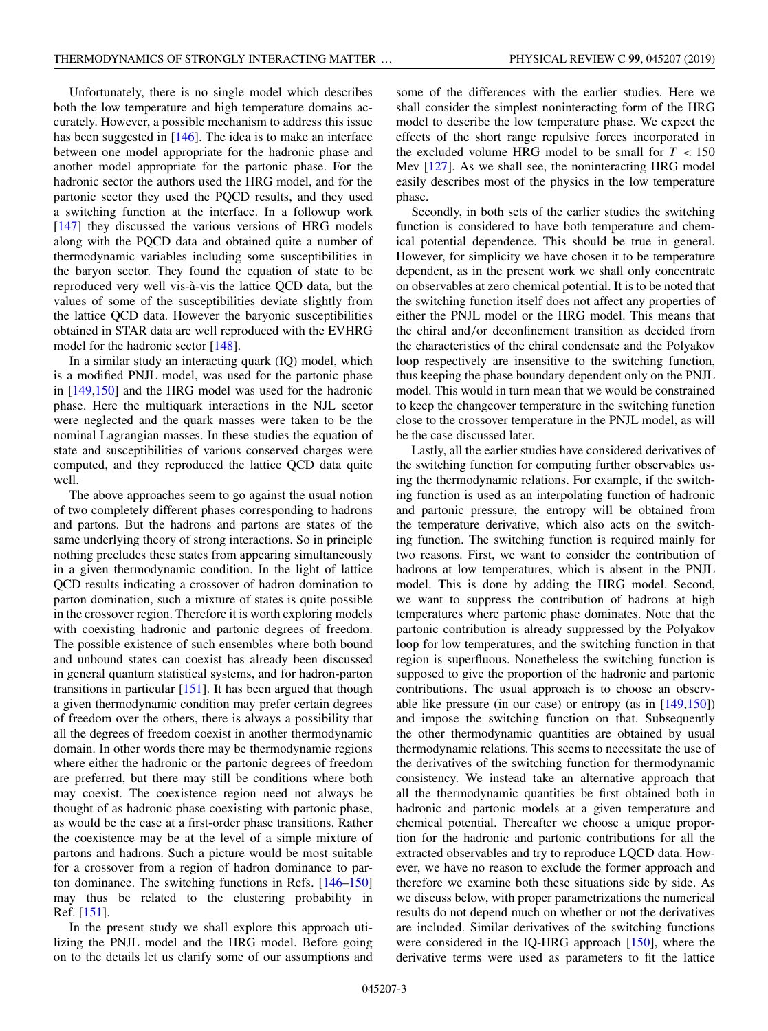Unfortunately, there is no single model which describes both the low temperature and high temperature domains accurately. However, a possible mechanism to address this issue has been suggested in [\[146\]](#page-16-0). The idea is to make an interface between one model appropriate for the hadronic phase and another model appropriate for the partonic phase. For the hadronic sector the authors used the HRG model, and for the partonic sector they used the PQCD results, and they used a switching function at the interface. In a followup work [\[147\]](#page-16-0) they discussed the various versions of HRG models along with the PQCD data and obtained quite a number of thermodynamic variables including some susceptibilities in the baryon sector. They found the equation of state to be reproduced very well vis-à-vis the lattice QCD data, but the values of some of the susceptibilities deviate slightly from the lattice QCD data. However the baryonic susceptibilities obtained in STAR data are well reproduced with the EVHRG model for the hadronic sector [\[148\]](#page-16-0).

In a similar study an interacting quark (IQ) model, which is a modified PNJL model, was used for the partonic phase in [\[149,150\]](#page-16-0) and the HRG model was used for the hadronic phase. Here the multiquark interactions in the NJL sector were neglected and the quark masses were taken to be the nominal Lagrangian masses. In these studies the equation of state and susceptibilities of various conserved charges were computed, and they reproduced the lattice QCD data quite well.

The above approaches seem to go against the usual notion of two completely different phases corresponding to hadrons and partons. But the hadrons and partons are states of the same underlying theory of strong interactions. So in principle nothing precludes these states from appearing simultaneously in a given thermodynamic condition. In the light of lattice QCD results indicating a crossover of hadron domination to parton domination, such a mixture of states is quite possible in the crossover region. Therefore it is worth exploring models with coexisting hadronic and partonic degrees of freedom. The possible existence of such ensembles where both bound and unbound states can coexist has already been discussed in general quantum statistical systems, and for hadron-parton transitions in particular [\[151\]](#page-16-0). It has been argued that though a given thermodynamic condition may prefer certain degrees of freedom over the others, there is always a possibility that all the degrees of freedom coexist in another thermodynamic domain. In other words there may be thermodynamic regions where either the hadronic or the partonic degrees of freedom are preferred, but there may still be conditions where both may coexist. The coexistence region need not always be thought of as hadronic phase coexisting with partonic phase, as would be the case at a first-order phase transitions. Rather the coexistence may be at the level of a simple mixture of partons and hadrons. Such a picture would be most suitable for a crossover from a region of hadron dominance to parton dominance. The switching functions in Refs. [\[146–150\]](#page-16-0) may thus be related to the clustering probability in Ref. [\[151\]](#page-16-0).

In the present study we shall explore this approach utilizing the PNJL model and the HRG model. Before going on to the details let us clarify some of our assumptions and

some of the differences with the earlier studies. Here we shall consider the simplest noninteracting form of the HRG model to describe the low temperature phase. We expect the effects of the short range repulsive forces incorporated in the excluded volume HRG model to be small for  $T < 150$ Mev [\[127\]](#page-15-0). As we shall see, the noninteracting HRG model easily describes most of the physics in the low temperature phase.

Secondly, in both sets of the earlier studies the switching function is considered to have both temperature and chemical potential dependence. This should be true in general. However, for simplicity we have chosen it to be temperature dependent, as in the present work we shall only concentrate on observables at zero chemical potential. It is to be noted that the switching function itself does not affect any properties of either the PNJL model or the HRG model. This means that the chiral and/or deconfinement transition as decided from the characteristics of the chiral condensate and the Polyakov loop respectively are insensitive to the switching function, thus keeping the phase boundary dependent only on the PNJL model. This would in turn mean that we would be constrained to keep the changeover temperature in the switching function close to the crossover temperature in the PNJL model, as will be the case discussed later.

Lastly, all the earlier studies have considered derivatives of the switching function for computing further observables using the thermodynamic relations. For example, if the switching function is used as an interpolating function of hadronic and partonic pressure, the entropy will be obtained from the temperature derivative, which also acts on the switching function. The switching function is required mainly for two reasons. First, we want to consider the contribution of hadrons at low temperatures, which is absent in the PNJL model. This is done by adding the HRG model. Second, we want to suppress the contribution of hadrons at high temperatures where partonic phase dominates. Note that the partonic contribution is already suppressed by the Polyakov loop for low temperatures, and the switching function in that region is superfluous. Nonetheless the switching function is supposed to give the proportion of the hadronic and partonic contributions. The usual approach is to choose an observable like pressure (in our case) or entropy (as in  $[149,150]$ ) and impose the switching function on that. Subsequently the other thermodynamic quantities are obtained by usual thermodynamic relations. This seems to necessitate the use of the derivatives of the switching function for thermodynamic consistency. We instead take an alternative approach that all the thermodynamic quantities be first obtained both in hadronic and partonic models at a given temperature and chemical potential. Thereafter we choose a unique proportion for the hadronic and partonic contributions for all the extracted observables and try to reproduce LQCD data. However, we have no reason to exclude the former approach and therefore we examine both these situations side by side. As we discuss below, with proper parametrizations the numerical results do not depend much on whether or not the derivatives are included. Similar derivatives of the switching functions were considered in the IQ-HRG approach [\[150\]](#page-16-0), where the derivative terms were used as parameters to fit the lattice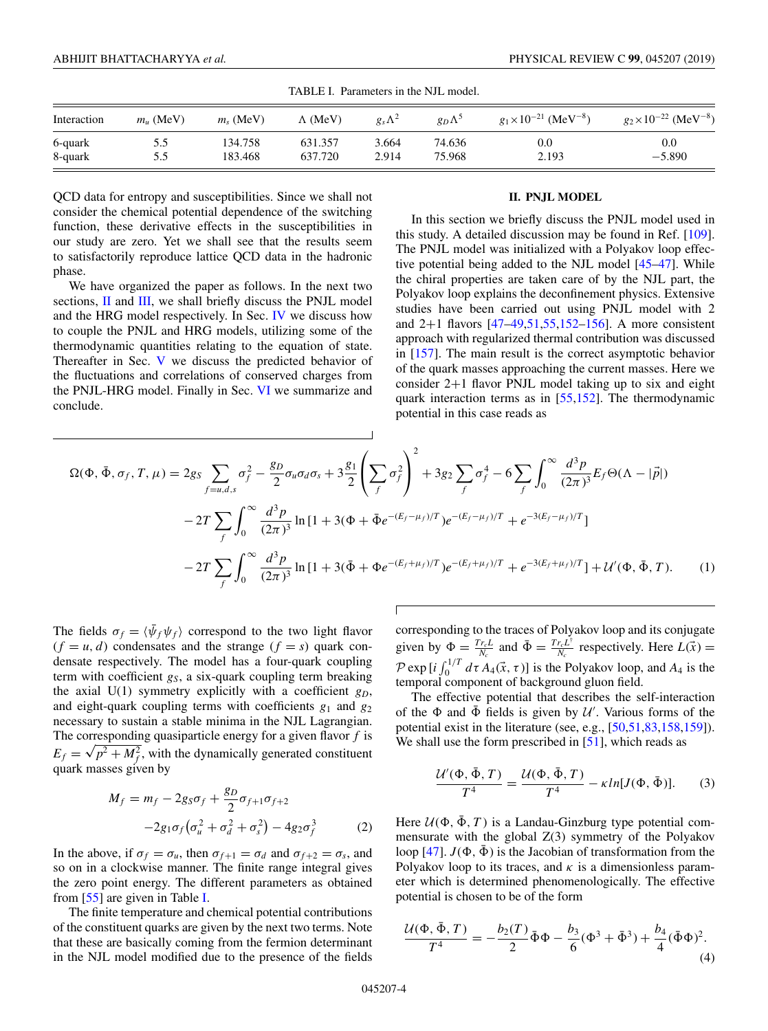| TABLE I. Parameters in the NJL model. |             |             |                 |                 |                |                                            |                                            |
|---------------------------------------|-------------|-------------|-----------------|-----------------|----------------|--------------------------------------------|--------------------------------------------|
| Interaction                           | $m_u$ (MeV) | $m_s$ (MeV) | $\Lambda$ (MeV) | $g_s \Lambda^2$ | $g_D\Lambda^5$ | $g_1 \times 10^{-21}$ (MeV <sup>-8</sup> ) | $g_2 \times 10^{-22}$ (MeV <sup>-8</sup> ) |
| 6-quark                               | 5.5         | 134.758     | 631.357         | 3.664           | 74.636         | 0.0                                        | 0.0                                        |
| 8-quark                               | 5.5         | 183.468     | 637.720         | 2.914           | 75.968         | 2.193                                      | $-5.890$                                   |

QCD data for entropy and susceptibilities. Since we shall not consider the chemical potential dependence of the switching function, these derivative effects in the susceptibilities in our study are zero. Yet we shall see that the results seem to satisfactorily reproduce lattice QCD data in the hadronic phase.

We have organized the paper as follows. In the next two sections, II and [III,](#page-4-0) we shall briefly discuss the PNJL model and the HRG model respectively. In Sec. [IV](#page-4-0) we discuss how to couple the PNJL and HRG models, utilizing some of the thermodynamic quantities relating to the equation of state. Thereafter in Sec. [V](#page-8-0) we discuss the predicted behavior of the fluctuations and correlations of conserved charges from the PNJL-HRG model. Finally in Sec. [VI](#page-12-0) we summarize and conclude.

#### **II. PNJL MODEL**

In this section we briefly discuss the PNJL model used in this study. A detailed discussion may be found in Ref. [\[109\]](#page-15-0). The PNJL model was initialized with a Polyakov loop effective potential being added to the NJL model [\[45–47\]](#page-14-0). While the chiral properties are taken care of by the NJL part, the Polyakov loop explains the deconfinement physics. Extensive studies have been carried out using PNJL model with 2 and 2+1 flavors [\[47–49,51,55,](#page-14-0)[152–156\]](#page-16-0). A more consistent approach with regularized thermal contribution was discussed in [\[157\]](#page-16-0). The main result is the correct asymptotic behavior of the quark masses approaching the current masses. Here we consider 2+1 flavor PNJL model taking up to six and eight quark interaction terms as in [\[55](#page-14-0)[,152\]](#page-16-0). The thermodynamic potential in this case reads as

$$
\Omega(\Phi, \bar{\Phi}, \sigma_f, T, \mu) = 2g_s \sum_{f=u,d,s} \sigma_f^2 - \frac{g_D}{2} \sigma_u \sigma_d \sigma_s + 3\frac{g_1}{2} \left( \sum_f \sigma_f^2 \right)^2 + 3g_2 \sum_f \sigma_f^4 - 6 \sum_f \int_0^\infty \frac{d^3 p}{(2\pi)^3} E_f \Theta(\Lambda - |\vec{p}|)
$$
  

$$
-2T \sum_f \int_0^\infty \frac{d^3 p}{(2\pi)^3} \ln\left[1 + 3(\Phi + \bar{\Phi}e^{-(E_f - \mu_f)/T})e^{-(E_f - \mu_f)/T} + e^{-3(E_f - \mu_f)/T}\right]
$$
  

$$
-2T \sum_f \int_0^\infty \frac{d^3 p}{(2\pi)^3} \ln\left[1 + 3(\bar{\Phi} + \Phi e^{-(E_f + \mu_f)/T})e^{-(E_f + \mu_f)/T} + e^{-3(E_f + \mu_f)/T}\right] + \mathcal{U}'(\Phi, \bar{\Phi}, T). \tag{1}
$$

The fields  $\sigma_f = \langle \bar{\psi}_f \psi_f \rangle$  correspond to the two light flavor  $(f = u, d)$  condensates and the strange  $(f = s)$  quark condensate respectively. The model has a four-quark coupling term with coefficient *g<sub>S</sub>*, a six-quark coupling term breaking the axial  $U(1)$  symmetry explicitly with a coefficient  $g_D$ , and eight-quark coupling terms with coefficients *g*<sup>1</sup> and *g*<sup>2</sup> necessary to sustain a stable minima in the NJL Lagrangian. The corresponding quasiparticle energy for a given flavor *f* is The corresponding quasiparticle energy for a given havor *f* is  $E_f = \sqrt{p^2 + M_f^2}$ , with the dynamically generated constituent quark masses given by

$$
M_f = m_f - 2g_S \sigma_f + \frac{g_D}{2} \sigma_{f+1} \sigma_{f+2}
$$
  
-2g<sub>1</sub>  $\sigma_f \left( \sigma_u^2 + \sigma_d^2 + \sigma_s^2 \right) - 4g_2 \sigma_f^3$  (2)

In the above, if  $\sigma_f = \sigma_u$ , then  $\sigma_{f+1} = \sigma_d$  and  $\sigma_{f+2} = \sigma_s$ , and so on in a clockwise manner. The finite range integral gives the zero point energy. The different parameters as obtained from [\[55\]](#page-14-0) are given in Table I.

The finite temperature and chemical potential contributions of the constituent quarks are given by the next two terms. Note that these are basically coming from the fermion determinant in the NJL model modified due to the presence of the fields

corresponding to the traces of Polyakov loop and its conjugate given by  $\Phi = \frac{T r_c L}{N_c}$  and  $\bar{\Phi} = \frac{T r_c L^{\dagger}}{N_c}$  respectively. Here  $L(\vec{x}) =$  $\mathcal{P}$  exp  $[i\int_0^{1/T} d\tau A_4(\vec{x}, \tau)]$  is the Polyakov loop, and  $A_4$  is the temporal component of background gluon field.

The effective potential that describes the self-interaction of the  $\Phi$  and  $\bar{\Phi}$  fields is given by U'. Various forms of the potential exist in the literature (see, e.g., [\[50,51,](#page-14-0)[83](#page-15-0)[,158,159\]](#page-16-0)). We shall use the form prescribed in  $[51]$ , which reads as

$$
\frac{\mathcal{U}'(\Phi,\bar{\Phi},T)}{T^4} = \frac{\mathcal{U}(\Phi,\bar{\Phi},T)}{T^4} - \kappa \ln[J(\Phi,\bar{\Phi})].
$$
 (3)

Here  $U(\Phi, \bar{\Phi}, T)$  is a Landau-Ginzburg type potential commensurate with the global  $Z(3)$  symmetry of the Polyakov loop [\[47\]](#page-14-0).  $J(\Phi, \bar{\Phi})$  is the Jacobian of transformation from the Polyakov loop to its traces, and  $\kappa$  is a dimensionless parameter which is determined phenomenologically. The effective potential is chosen to be of the form

$$
\frac{\mathcal{U}(\Phi, \bar{\Phi}, T)}{T^4} = -\frac{b_2(T)}{2} \bar{\Phi} \Phi - \frac{b_3}{6} (\Phi^3 + \bar{\Phi}^3) + \frac{b_4}{4} (\bar{\Phi} \Phi)^2.
$$
\n(4)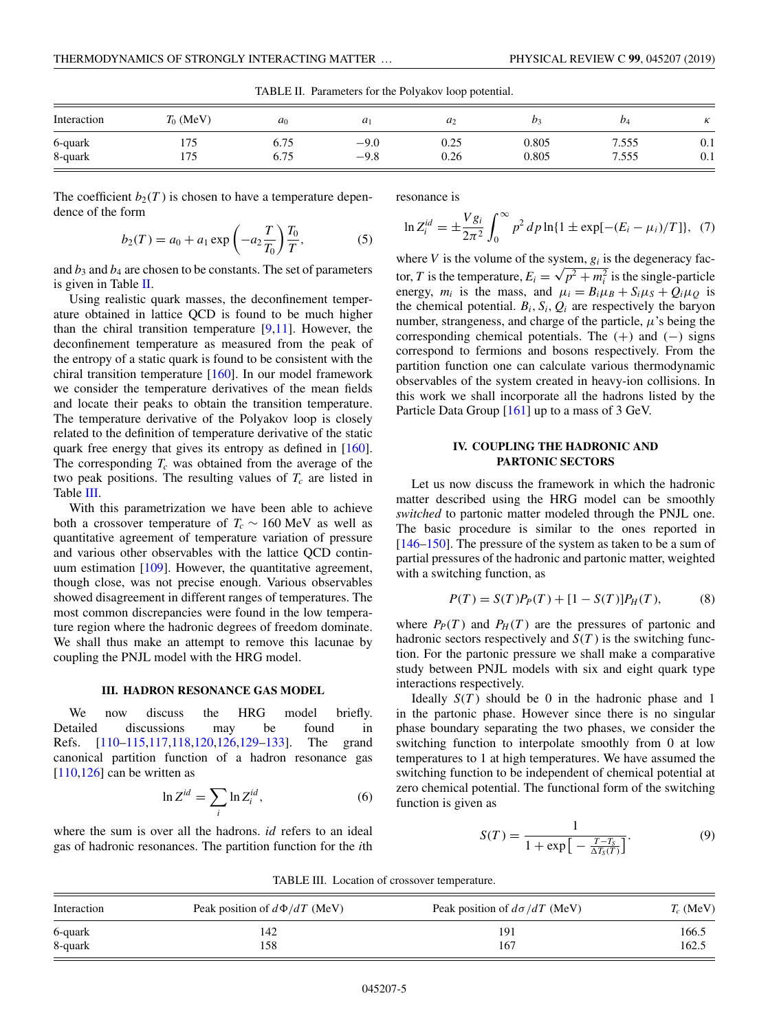<span id="page-4-0"></span>

|             | the contract of the complete the state of the contract of the contract of the contract of the contract of the contract of the contract of the contract of the contract of the contract of the contract of the contract of the |       |        |                |       |                 |                 |
|-------------|-------------------------------------------------------------------------------------------------------------------------------------------------------------------------------------------------------------------------------|-------|--------|----------------|-------|-----------------|-----------------|
| Interaction | $T_0$ (MeV)                                                                                                                                                                                                                   | $a_0$ | $a_1$  | a <sub>2</sub> | V2    | $\mathcal{D}_4$ | $\sqrt{ }$<br>ĸ |
| 6-quark     | 175                                                                                                                                                                                                                           | 6.75  | $-9.0$ | 0.25           | 0.805 | 7.555           | 0.1             |
| 8-quark     | 175<br>1 I J                                                                                                                                                                                                                  | 6.75  | $-9.8$ | 0.26           | 0.805 | 7.555           | 0.1             |

TABLE II. Parameters for the Polyakov loop potential.

The coefficient  $b_2(T)$  is chosen to have a temperature dependence of the form

$$
b_2(T) = a_0 + a_1 \exp\left(-a_2 \frac{T}{T_0}\right) \frac{T_0}{T},
$$
 (5)

and  $b_3$  and  $b_4$  are chosen to be constants. The set of parameters is given in Table II.

Using realistic quark masses, the deconfinement temperature obtained in lattice QCD is found to be much higher than the chiral transition temperature  $[9,11]$ . However, the deconfinement temperature as measured from the peak of the entropy of a static quark is found to be consistent with the chiral transition temperature [\[160\]](#page-16-0). In our model framework we consider the temperature derivatives of the mean fields and locate their peaks to obtain the transition temperature. The temperature derivative of the Polyakov loop is closely related to the definition of temperature derivative of the static quark free energy that gives its entropy as defined in [\[160\]](#page-16-0). The corresponding  $T_c$  was obtained from the average of the two peak positions. The resulting values of  $T_c$  are listed in Table III.

With this parametrization we have been able to achieve both a crossover temperature of  $T_c \sim 160 \text{ MeV}$  as well as quantitative agreement of temperature variation of pressure and various other observables with the lattice QCD continuum estimation [\[109\]](#page-15-0). However, the quantitative agreement, though close, was not precise enough. Various observables showed disagreement in different ranges of temperatures. The most common discrepancies were found in the low temperature region where the hadronic degrees of freedom dominate. We shall thus make an attempt to remove this lacunae by coupling the PNJL model with the HRG model.

#### **III. HADRON RESONANCE GAS MODEL**

We now discuss the HRG model briefly. Detailed discussions may be found in Refs. [\[110–115,117,118,120,126,129–133\]](#page-15-0). The grand canonical partition function of a hadron resonance gas  $[110,126]$  can be written as

$$
\ln Z^{id} = \sum_{i} \ln Z_i^{id},\tag{6}
$$

where the sum is over all the hadrons. *id* refers to an ideal gas of hadronic resonances. The partition function for the *i*th resonance is

$$
\ln Z_i^{id} = \pm \frac{V g_i}{2\pi^2} \int_0^\infty p^2 \, dp \ln\{1 \pm \exp[-(E_i - \mu_i)/T]\}, \tag{7}
$$

where *V* is the volume of the system,  $g_i$  is the degeneracy facwhere *v* is the volume of the system,  $g_i$  is the degeneracy factor, *T* is the temperature,  $E_i = \sqrt{p^2 + m_i^2}$  is the single-particle energy,  $m_i$  is the mass, and  $\mu_i = B_i \mu_B + S_i \mu_S + Q_i \mu_Q$  is the chemical potential.  $B_i$ ,  $S_i$ ,  $Q_i$  are respectively the baryon number, strangeness, and charge of the particle,  $\mu$ 's being the corresponding chemical potentials. The  $(+)$  and  $(-)$  signs correspond to fermions and bosons respectively. From the partition function one can calculate various thermodynamic observables of the system created in heavy-ion collisions. In this work we shall incorporate all the hadrons listed by the Particle Data Group [\[161\]](#page-16-0) up to a mass of 3 GeV.

# **IV. COUPLING THE HADRONIC AND PARTONIC SECTORS**

Let us now discuss the framework in which the hadronic matter described using the HRG model can be smoothly *switched* to partonic matter modeled through the PNJL one. The basic procedure is similar to the ones reported in [\[146–150\]](#page-16-0). The pressure of the system as taken to be a sum of partial pressures of the hadronic and partonic matter, weighted with a switching function, as

$$
P(T) = S(T)P_P(T) + [1 - S(T)]P_H(T),
$$
 (8)

where  $P_P(T)$  and  $P_H(T)$  are the pressures of partonic and hadronic sectors respectively and  $S(T)$  is the switching function. For the partonic pressure we shall make a comparative study between PNJL models with six and eight quark type interactions respectively.

Ideally  $S(T)$  should be 0 in the hadronic phase and 1 in the partonic phase. However since there is no singular phase boundary separating the two phases, we consider the switching function to interpolate smoothly from 0 at low temperatures to 1 at high temperatures. We have assumed the switching function to be independent of chemical potential at zero chemical potential. The functional form of the switching function is given as

$$
S(T) = \frac{1}{1 + \exp\left[-\frac{T - T_S}{\Delta T_S(T)}\right]}.
$$
\n(9)

| Interaction        | Peak position of $d\Phi/dT$ (MeV) | Peak position of $d\sigma/dT$ (MeV) | $T_c$ (MeV)    |
|--------------------|-----------------------------------|-------------------------------------|----------------|
| 6-quark<br>8-quark | 142<br>l 58                       | 191<br>167                          | 166.5<br>162.5 |
|                    |                                   |                                     |                |

TABLE III. Location of crossover temperature.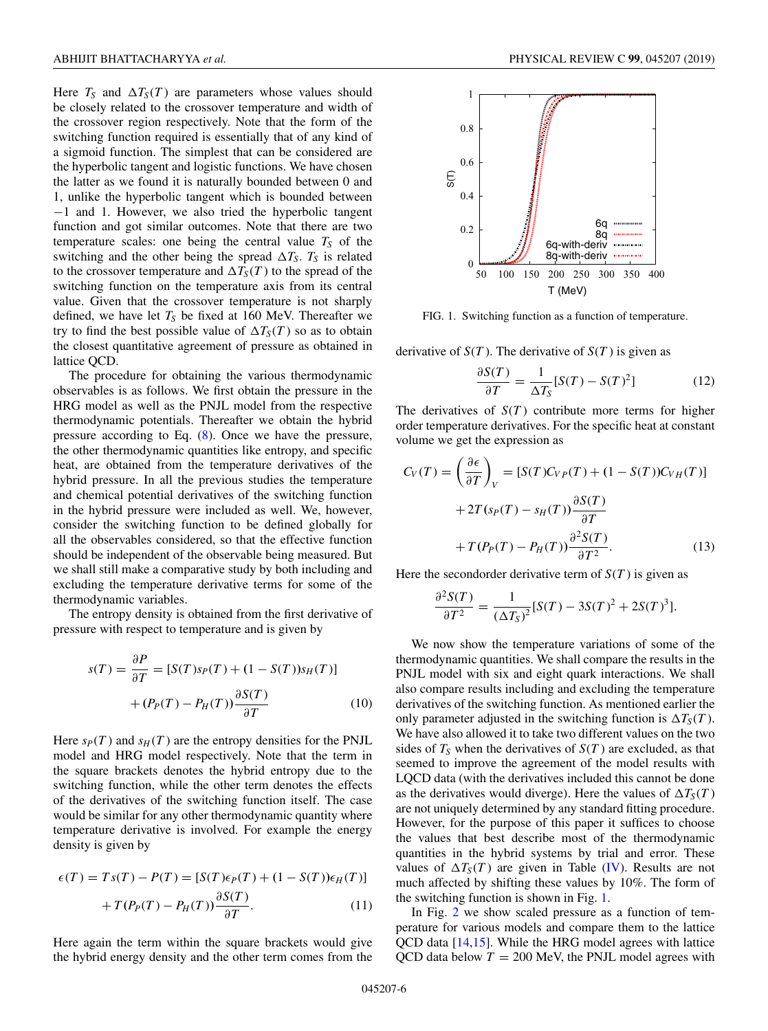Here  $T_S$  and  $\Delta T_S(T)$  are parameters whose values should be closely related to the crossover temperature and width of the crossover region respectively. Note that the form of the switching function required is essentially that of any kind of a sigmoid function. The simplest that can be considered are the hyperbolic tangent and logistic functions. We have chosen the latter as we found it is naturally bounded between 0 and 1, unlike the hyperbolic tangent which is bounded between −1 and 1. However, we also tried the hyperbolic tangent function and got similar outcomes. Note that there are two temperature scales: one being the central value  $T<sub>S</sub>$  of the switching and the other being the spread  $\Delta T_S$ .  $T_S$  is related to the crossover temperature and  $\Delta T_S(T)$  to the spread of the switching function on the temperature axis from its central value. Given that the crossover temperature is not sharply defined, we have let  $T<sub>S</sub>$  be fixed at 160 MeV. Thereafter we try to find the best possible value of  $\Delta T_S(T)$  so as to obtain the closest quantitative agreement of pressure as obtained in lattice QCD.

The procedure for obtaining the various thermodynamic observables is as follows. We first obtain the pressure in the HRG model as well as the PNJL model from the respective thermodynamic potentials. Thereafter we obtain the hybrid pressure according to Eq. [\(8\)](#page-4-0). Once we have the pressure, the other thermodynamic quantities like entropy, and specific heat, are obtained from the temperature derivatives of the hybrid pressure. In all the previous studies the temperature and chemical potential derivatives of the switching function in the hybrid pressure were included as well. We, however, consider the switching function to be defined globally for all the observables considered, so that the effective function should be independent of the observable being measured. But we shall still make a comparative study by both including and excluding the temperature derivative terms for some of the thermodynamic variables.

The entropy density is obtained from the first derivative of pressure with respect to temperature and is given by

$$
s(T) = \frac{\partial P}{\partial T} = [S(T)s_P(T) + (1 - S(T))s_H(T)]
$$

$$
+ (P_P(T) - P_H(T))\frac{\partial S(T)}{\partial T}
$$
(10)

Here  $s_P(T)$  and  $s_H(T)$  are the entropy densities for the PNJL model and HRG model respectively. Note that the term in the square brackets denotes the hybrid entropy due to the switching function, while the other term denotes the effects of the derivatives of the switching function itself. The case would be similar for any other thermodynamic quantity where temperature derivative is involved. For example the energy density is given by

$$
\epsilon(T) = Ts(T) - P(T) = [S(T)\epsilon_P(T) + (1 - S(T))\epsilon_H(T)]
$$

$$
+ T(P_P(T) - P_H(T))\frac{\partial S(T)}{\partial T}.
$$
(11)

Here again the term within the square brackets would give the hybrid energy density and the other term comes from the



FIG. 1. Switching function as a function of temperature.

derivative of  $S(T)$ . The derivative of  $S(T)$  is given as

$$
\frac{\partial S(T)}{\partial T} = \frac{1}{\Delta T_S} [S(T) - S(T)^2]
$$
(12)

The derivatives of  $S(T)$  contribute more terms for higher order temperature derivatives. For the specific heat at constant volume we get the expression as

$$
C_V(T) = \left(\frac{\partial \epsilon}{\partial T}\right)_V = [S(T)C_{VP}(T) + (1 - S(T))C_{VH}(T)]
$$

$$
+ 2T(s_P(T) - s_H(T))\frac{\partial S(T)}{\partial T}
$$

$$
+ T(P_P(T) - P_H(T))\frac{\partial^2 S(T)}{\partial T^2}.
$$
(13)

Here the secondorder derivative term of  $S(T)$  is given as

$$
\frac{\partial^2 S(T)}{\partial T^2} = \frac{1}{(\Delta T_S)^2} [S(T) - 3S(T)^2 + 2S(T)^3].
$$

We now show the temperature variations of some of the thermodynamic quantities. We shall compare the results in the PNJL model with six and eight quark interactions. We shall also compare results including and excluding the temperature derivatives of the switching function. As mentioned earlier the only parameter adjusted in the switching function is  $\Delta T_S(T)$ . We have also allowed it to take two different values on the two sides of  $T<sub>S</sub>$  when the derivatives of  $S(T)$  are excluded, as that seemed to improve the agreement of the model results with LQCD data (with the derivatives included this cannot be done as the derivatives would diverge). Here the values of  $\Delta T_S(T)$ are not uniquely determined by any standard fitting procedure. However, for the purpose of this paper it suffices to choose the values that best describe most of the thermodynamic quantities in the hybrid systems by trial and error. These values of  $\Delta T_S(T)$  are given in Table [\(IV\)](#page-6-0). Results are not much affected by shifting these values by 10%. The form of the switching function is shown in Fig. 1.

In Fig. [2](#page-6-0) we show scaled pressure as a function of temperature for various models and compare them to the lattice QCD data [\[14,](#page-13-0)[15\]](#page-14-0). While the HRG model agrees with lattice QCD data below  $T = 200$  MeV, the PNJL model agrees with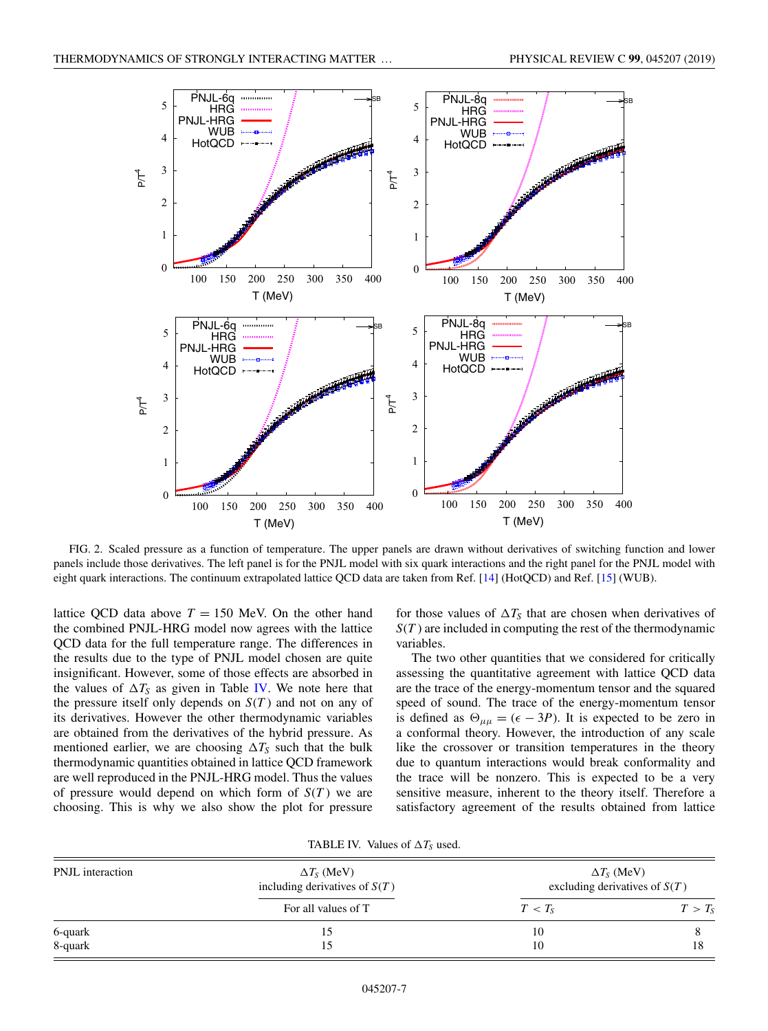<span id="page-6-0"></span>

FIG. 2. Scaled pressure as a function of temperature. The upper panels are drawn without derivatives of switching function and lower panels include those derivatives. The left panel is for the PNJL model with six quark interactions and the right panel for the PNJL model with eight quark interactions. The continuum extrapolated lattice QCD data are taken from Ref. [\[14\]](#page-13-0) (HotQCD) and Ref. [\[15\]](#page-14-0) (WUB).

lattice QCD data above  $T = 150$  MeV. On the other hand the combined PNJL-HRG model now agrees with the lattice QCD data for the full temperature range. The differences in the results due to the type of PNJL model chosen are quite insignificant. However, some of those effects are absorbed in the values of  $\Delta T_S$  as given in Table IV. We note here that the pressure itself only depends on  $S(T)$  and not on any of its derivatives. However the other thermodynamic variables are obtained from the derivatives of the hybrid pressure. As mentioned earlier, we are choosing  $\Delta T_S$  such that the bulk thermodynamic quantities obtained in lattice QCD framework are well reproduced in the PNJL-HRG model. Thus the values of pressure would depend on which form of  $S(T)$  we are choosing. This is why we also show the plot for pressure

for those values of  $\Delta T_S$  that are chosen when derivatives of *S*(*T* ) are included in computing the rest of the thermodynamic variables.

The two other quantities that we considered for critically assessing the quantitative agreement with lattice QCD data are the trace of the energy-momentum tensor and the squared speed of sound. The trace of the energy-momentum tensor is defined as  $\Theta_{\mu\mu} = (\epsilon - 3P)$ . It is expected to be zero in a conformal theory. However, the introduction of any scale like the crossover or transition temperatures in the theory due to quantum interactions would break conformality and the trace will be nonzero. This is expected to be a very sensitive measure, inherent to the theory itself. Therefore a satisfactory agreement of the results obtained from lattice

| TABLE IV. Values of $\Delta T_s$ used. |  |  |  |  |
|----------------------------------------|--|--|--|--|
|----------------------------------------|--|--|--|--|

| PNJL interaction | $\Delta T_s$ (MeV)<br>including derivatives of $S(T)$ | $\Delta T_s$ (MeV)<br>excluding derivatives of $S(T)$ |             |  |
|------------------|-------------------------------------------------------|-------------------------------------------------------|-------------|--|
|                  | For all values of T                                   | $T < T_{\rm S}$                                       | $T > T_{S}$ |  |
| 6-quark          |                                                       | 10                                                    |             |  |
| 8-quark          |                                                       | 10                                                    | 18          |  |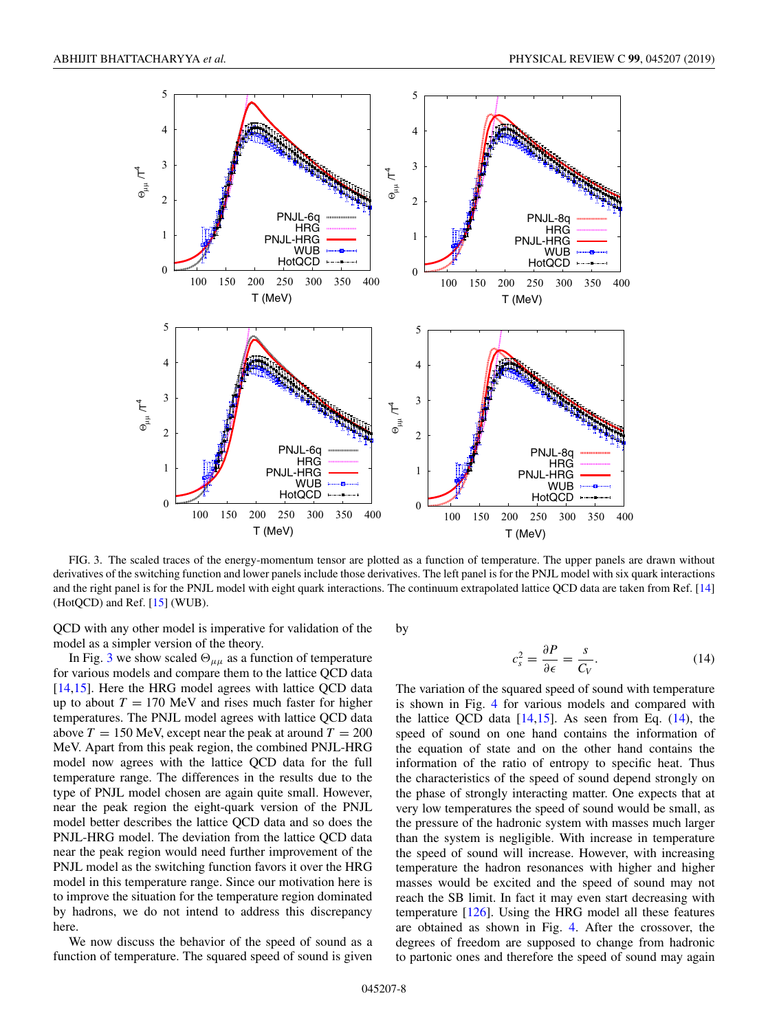

FIG. 3. The scaled traces of the energy-momentum tensor are plotted as a function of temperature. The upper panels are drawn without derivatives of the switching function and lower panels include those derivatives. The left panel is for the PNJL model with six quark interactions and the right panel is for the PNJL model with eight quark interactions. The continuum extrapolated lattice QCD data are taken from Ref. [\[14\]](#page-13-0) (HotQCD) and Ref. [\[15\]](#page-14-0) (WUB).

QCD with any other model is imperative for validation of the model as a simpler version of the theory.

In Fig. 3 we show scaled  $\Theta_{\mu\mu}$  as a function of temperature for various models and compare them to the lattice QCD data [\[14,](#page-13-0)[15\]](#page-14-0). Here the HRG model agrees with lattice QCD data up to about  $T = 170$  MeV and rises much faster for higher temperatures. The PNJL model agrees with lattice QCD data above  $T = 150$  MeV, except near the peak at around  $T = 200$ MeV. Apart from this peak region, the combined PNJL-HRG model now agrees with the lattice QCD data for the full temperature range. The differences in the results due to the type of PNJL model chosen are again quite small. However, near the peak region the eight-quark version of the PNJL model better describes the lattice QCD data and so does the PNJL-HRG model. The deviation from the lattice QCD data near the peak region would need further improvement of the PNJL model as the switching function favors it over the HRG model in this temperature range. Since our motivation here is to improve the situation for the temperature region dominated by hadrons, we do not intend to address this discrepancy here.

We now discuss the behavior of the speed of sound as a function of temperature. The squared speed of sound is given by

$$
c_s^2 = \frac{\partial P}{\partial \epsilon} = \frac{s}{C_V}.\tag{14}
$$

The variation of the squared speed of sound with temperature is shown in Fig. [4](#page-8-0) for various models and compared with the lattice QCD data  $[14,15]$  $[14,15]$ . As seen from Eq.  $(14)$ , the speed of sound on one hand contains the information of the equation of state and on the other hand contains the information of the ratio of entropy to specific heat. Thus the characteristics of the speed of sound depend strongly on the phase of strongly interacting matter. One expects that at very low temperatures the speed of sound would be small, as the pressure of the hadronic system with masses much larger than the system is negligible. With increase in temperature the speed of sound will increase. However, with increasing temperature the hadron resonances with higher and higher masses would be excited and the speed of sound may not reach the SB limit. In fact it may even start decreasing with temperature  $[126]$ . Using the HRG model all these features are obtained as shown in Fig. [4.](#page-8-0) After the crossover, the degrees of freedom are supposed to change from hadronic to partonic ones and therefore the speed of sound may again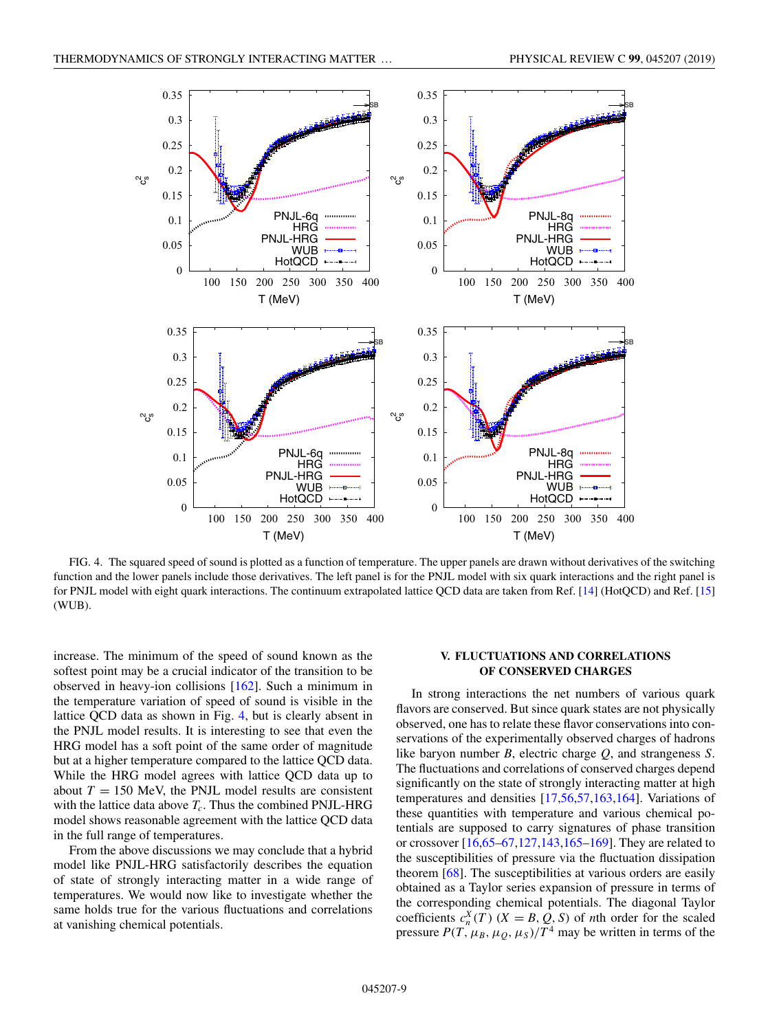<span id="page-8-0"></span>

FIG. 4. The squared speed of sound is plotted as a function of temperature. The upper panels are drawn without derivatives of the switching function and the lower panels include those derivatives. The left panel is for the PNJL model with six quark interactions and the right panel is for PNJL model with eight quark interactions. The continuum extrapolated lattice QCD data are taken from Ref. [\[14\]](#page-13-0) (HotQCD) and Ref. [\[15\]](#page-14-0) (WUB).

increase. The minimum of the speed of sound known as the softest point may be a crucial indicator of the transition to be observed in heavy-ion collisions [\[162\]](#page-16-0). Such a minimum in the temperature variation of speed of sound is visible in the lattice QCD data as shown in Fig. 4, but is clearly absent in the PNJL model results. It is interesting to see that even the HRG model has a soft point of the same order of magnitude but at a higher temperature compared to the lattice QCD data. While the HRG model agrees with lattice QCD data up to about  $T = 150$  MeV, the PNJL model results are consistent with the lattice data above  $T_c$ . Thus the combined PNJL-HRG model shows reasonable agreement with the lattice QCD data in the full range of temperatures.

From the above discussions we may conclude that a hybrid model like PNJL-HRG satisfactorily describes the equation of state of strongly interacting matter in a wide range of temperatures. We would now like to investigate whether the same holds true for the various fluctuations and correlations at vanishing chemical potentials.

# **V. FLUCTUATIONS AND CORRELATIONS OF CONSERVED CHARGES**

In strong interactions the net numbers of various quark flavors are conserved. But since quark states are not physically observed, one has to relate these flavor conservations into conservations of the experimentally observed charges of hadrons like baryon number *B*, electric charge *Q*, and strangeness *S*. The fluctuations and correlations of conserved charges depend significantly on the state of strongly interacting matter at high temperatures and densities [\[17,56,57,](#page-14-0)[163,164\]](#page-16-0). Variations of these quantities with temperature and various chemical potentials are supposed to carry signatures of phase transition or crossover [\[16,65–67](#page-14-0)[,127,](#page-15-0)[143,165–169\]](#page-16-0). They are related to the susceptibilities of pressure via the fluctuation dissipation theorem [\[68\]](#page-14-0). The susceptibilities at various orders are easily obtained as a Taylor series expansion of pressure in terms of the corresponding chemical potentials. The diagonal Taylor coefficients  $c_n^X(T)$  ( $X = B, Q, S$ ) of *n*th order for the scaled pressure  $P(T, \mu_B, \mu_Q, \mu_S)/T^4$  may be written in terms of the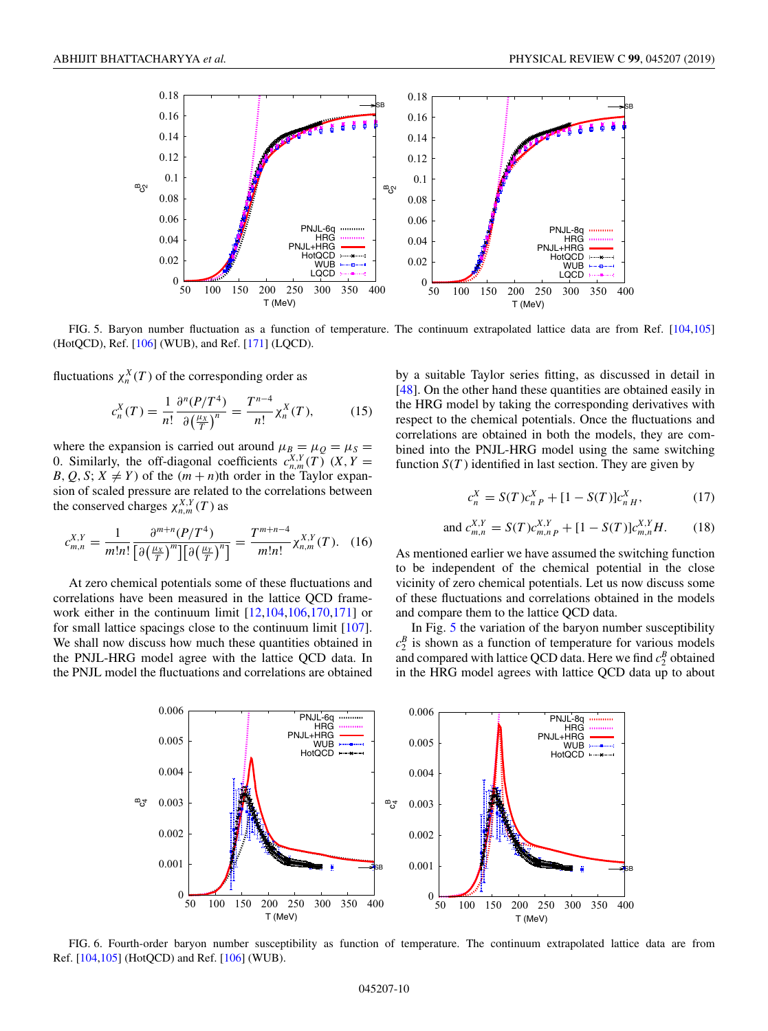<span id="page-9-0"></span>

FIG. 5. Baryon number fluctuation as a function of temperature. The continuum extrapolated lattice data are from Ref. [\[104,105\]](#page-15-0) (HotQCD), Ref. [\[106\]](#page-15-0) (WUB), and Ref. [\[171\]](#page-16-0) (LQCD).

fluctuations  $\chi_n^X(T)$  of the corresponding order as

$$
c_n^X(T) = \frac{1}{n!} \frac{\partial^n (P/T^4)}{\partial \left(\frac{\mu_X}{T}\right)^n} = \frac{T^{n-4}}{n!} \chi_n^X(T),\tag{15}
$$

where the expansion is carried out around  $\mu_B = \mu_Q = \mu_S =$ 0. Similarly, the off-diagonal coefficients  $c_{n,m}^{X,Y}(T)$  (*X,Y* =  $B, Q, S; X \neq Y$  of the  $(m + n)$ th order in the Taylor expansion of scaled pressure are related to the correlations between the conserved charges  $\chi_{n,m}^{X,Y}(T)$  as

$$
c_{m,n}^{X,Y} = \frac{1}{m!n!} \frac{\partial^{m+n}(P/T^4)}{\left[\partial \left(\frac{\mu_X}{T}\right)^m\right] \left[\partial \left(\frac{\mu_Y}{T}\right)^n\right]} = \frac{T^{m+n-4}}{m!n!} \chi_{n,m}^{X,Y}(T). \quad (16)
$$

At zero chemical potentials some of these fluctuations and correlations have been measured in the lattice QCD framework either in the continuum limit [\[12](#page-13-0)[,104,106](#page-15-0)[,170,171\]](#page-16-0) or for small lattice spacings close to the continuum limit [\[107\]](#page-15-0). We shall now discuss how much these quantities obtained in the PNJL-HRG model agree with the lattice QCD data. In the PNJL model the fluctuations and correlations are obtained

by a suitable Taylor series fitting, as discussed in detail in [\[48\]](#page-14-0). On the other hand these quantities are obtained easily in the HRG model by taking the corresponding derivatives with respect to the chemical potentials. Once the fluctuations and correlations are obtained in both the models, they are combined into the PNJL-HRG model using the same switching function  $S(T)$  identified in last section. They are given by

$$
c_n^X = S(T)c_{n\ P}^X + [1 - S(T)]c_{n\ H}^X,\tag{17}
$$

and 
$$
c_{m,n}^{X,Y} = S(T)c_{m,n}^{X,Y} + [1 - S(T)]c_{m,n}^{X,Y}H.
$$
 (18)

As mentioned earlier we have assumed the switching function to be independent of the chemical potential in the close vicinity of zero chemical potentials. Let us now discuss some of these fluctuations and correlations obtained in the models and compare them to the lattice QCD data.

In Fig. 5 the variation of the baryon number susceptibility  $c_2^B$  is shown as a function of temperature for various models and compared with lattice QCD data. Here we find  $c_2^B$  obtained in the HRG model agrees with lattice QCD data up to about



FIG. 6. Fourth-order baryon number susceptibility as function of temperature. The continuum extrapolated lattice data are from Ref. [\[104,105\]](#page-15-0) (HotQCD) and Ref. [\[106\]](#page-15-0) (WUB).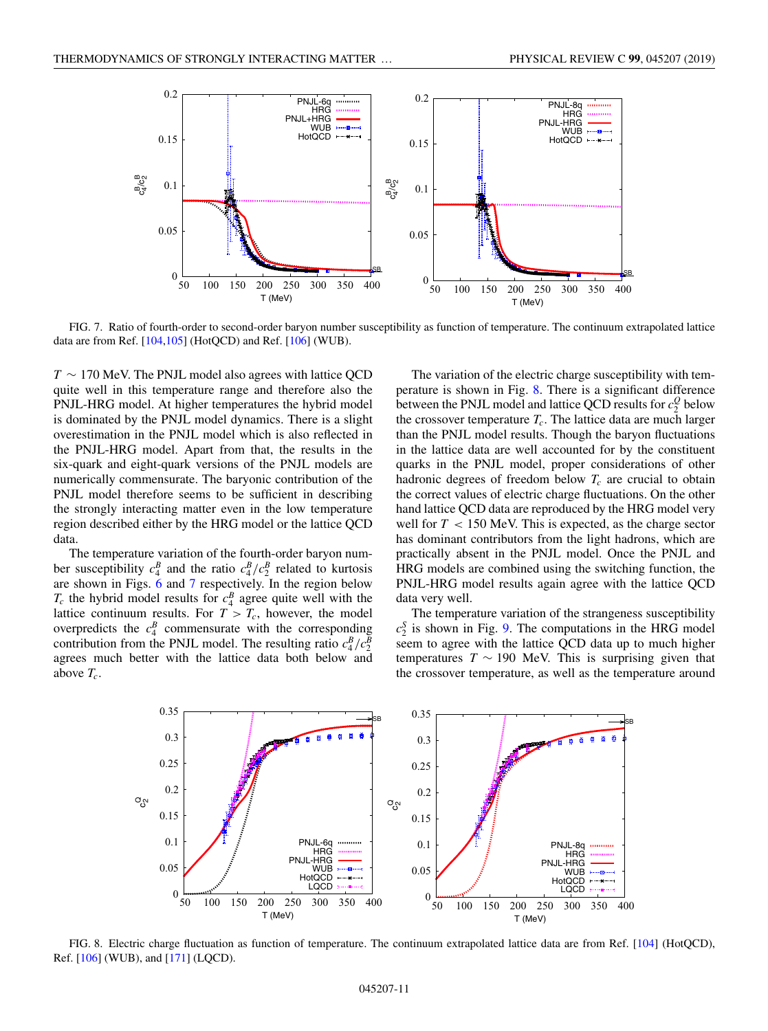

FIG. 7. Ratio of fourth-order to second-order baryon number susceptibility as function of temperature. The continuum extrapolated lattice data are from Ref. [\[104,105\]](#page-15-0) (HotQCD) and Ref. [\[106\]](#page-15-0) (WUB).

*T* ∼ 170 MeV. The PNJL model also agrees with lattice QCD quite well in this temperature range and therefore also the PNJL-HRG model. At higher temperatures the hybrid model is dominated by the PNJL model dynamics. There is a slight overestimation in the PNJL model which is also reflected in the PNJL-HRG model. Apart from that, the results in the six-quark and eight-quark versions of the PNJL models are numerically commensurate. The baryonic contribution of the PNJL model therefore seems to be sufficient in describing the strongly interacting matter even in the low temperature region described either by the HRG model or the lattice QCD data.

The temperature variation of the fourth-order baryon number susceptibility  $c_4^B$  and the ratio  $c_4^B/c_2^B$  related to kurtosis are shown in Figs. [6](#page-9-0) and 7 respectively. In the region below  $T_c$  the hybrid model results for  $c_4^B$  agree quite well with the lattice continuum results. For  $T > T_c$ , however, the model overpredicts the  $c_4^B$  commensurate with the corresponding contribution from the PNJL model. The resulting ratio  $c_4^B/c_2^B$ agrees much better with the lattice data both below and above  $T_c$ .

The variation of the electric charge susceptibility with temperature is shown in Fig. 8. There is a significant difference between the PNJL model and lattice QCD results for  $c_2^Q$  below the crossover temperature  $T_c$ . The lattice data are much larger than the PNJL model results. Though the baryon fluctuations in the lattice data are well accounted for by the constituent quarks in the PNJL model, proper considerations of other hadronic degrees of freedom below  $T_c$  are crucial to obtain the correct values of electric charge fluctuations. On the other hand lattice QCD data are reproduced by the HRG model very well for  $T < 150$  MeV. This is expected, as the charge sector has dominant contributors from the light hadrons, which are practically absent in the PNJL model. Once the PNJL and HRG models are combined using the switching function, the PNJL-HRG model results again agree with the lattice QCD data very well.

The temperature variation of the strangeness susceptibility  $c_2^S$  is shown in Fig. [9.](#page-11-0) The computations in the HRG model seem to agree with the lattice QCD data up to much higher temperatures  $T \sim 190$  MeV. This is surprising given that the crossover temperature, as well as the temperature around



FIG. 8. Electric charge fluctuation as function of temperature. The continuum extrapolated lattice data are from Ref. [\[104\]](#page-15-0) (HotQCD), Ref. [\[106\]](#page-15-0) (WUB), and [\[171\]](#page-16-0) (LQCD).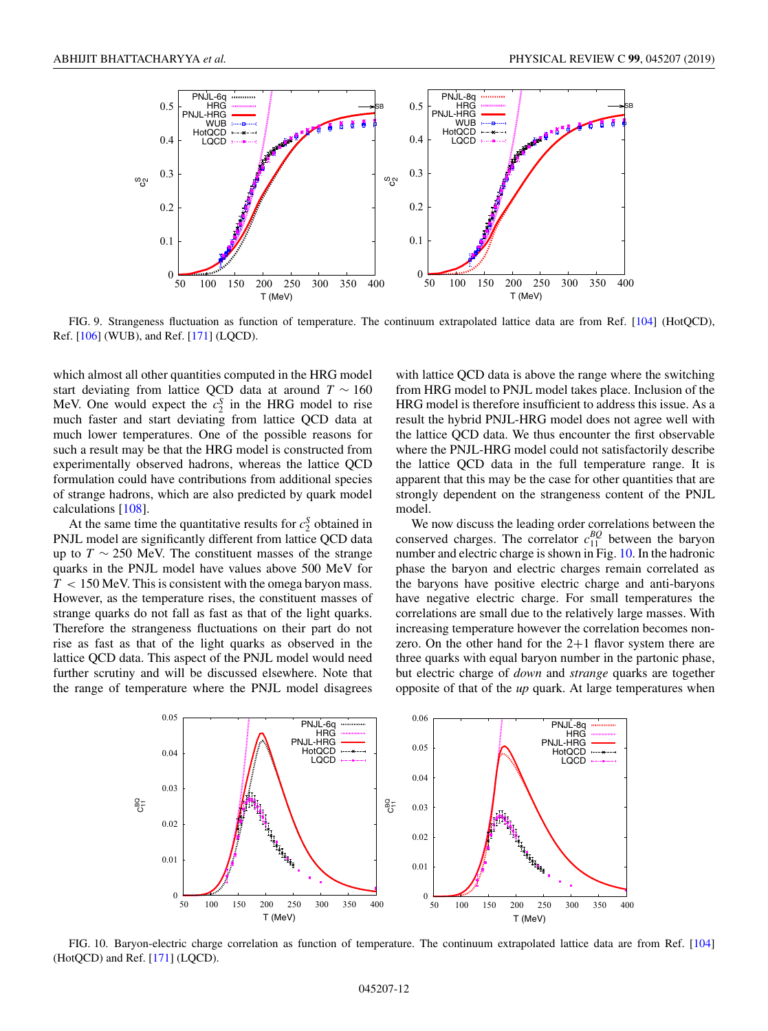<span id="page-11-0"></span>

FIG. 9. Strangeness fluctuation as function of temperature. The continuum extrapolated lattice data are from Ref. [\[104\]](#page-15-0) (HotQCD), Ref. [\[106\]](#page-15-0) (WUB), and Ref. [\[171\]](#page-16-0) (LQCD).

which almost all other quantities computed in the HRG model start deviating from lattice QCD data at around *T* ∼ 160 MeV. One would expect the  $c_2^S$  in the HRG model to rise much faster and start deviating from lattice QCD data at much lower temperatures. One of the possible reasons for such a result may be that the HRG model is constructed from experimentally observed hadrons, whereas the lattice QCD formulation could have contributions from additional species of strange hadrons, which are also predicted by quark model calculations [\[108\]](#page-15-0).

At the same time the quantitative results for  $c_2^S$  obtained in PNJL model are significantly different from lattice QCD data up to  $T \sim 250$  MeV. The constituent masses of the strange quarks in the PNJL model have values above 500 MeV for *T* < 150 MeV. This is consistent with the omega baryon mass. However, as the temperature rises, the constituent masses of strange quarks do not fall as fast as that of the light quarks. Therefore the strangeness fluctuations on their part do not rise as fast as that of the light quarks as observed in the lattice QCD data. This aspect of the PNJL model would need further scrutiny and will be discussed elsewhere. Note that the range of temperature where the PNJL model disagrees

with lattice OCD data is above the range where the switching from HRG model to PNJL model takes place. Inclusion of the HRG model is therefore insufficient to address this issue. As a result the hybrid PNJL-HRG model does not agree well with the lattice QCD data. We thus encounter the first observable where the PNJL-HRG model could not satisfactorily describe the lattice QCD data in the full temperature range. It is apparent that this may be the case for other quantities that are strongly dependent on the strangeness content of the PNJL model.

We now discuss the leading order correlations between the conserved charges. The correlator  $c_{11}^{BQ}$  between the baryon number and electric charge is shown in Fig. 10. In the hadronic phase the baryon and electric charges remain correlated as the baryons have positive electric charge and anti-baryons have negative electric charge. For small temperatures the correlations are small due to the relatively large masses. With increasing temperature however the correlation becomes nonzero. On the other hand for the  $2+1$  flavor system there are three quarks with equal baryon number in the partonic phase, but electric charge of *down* and *strange* quarks are together opposite of that of the *up* quark. At large temperatures when



FIG. 10. Baryon-electric charge correlation as function of temperature. The continuum extrapolated lattice data are from Ref. [\[104\]](#page-15-0) (HotQCD) and Ref. [\[171\]](#page-16-0) (LQCD).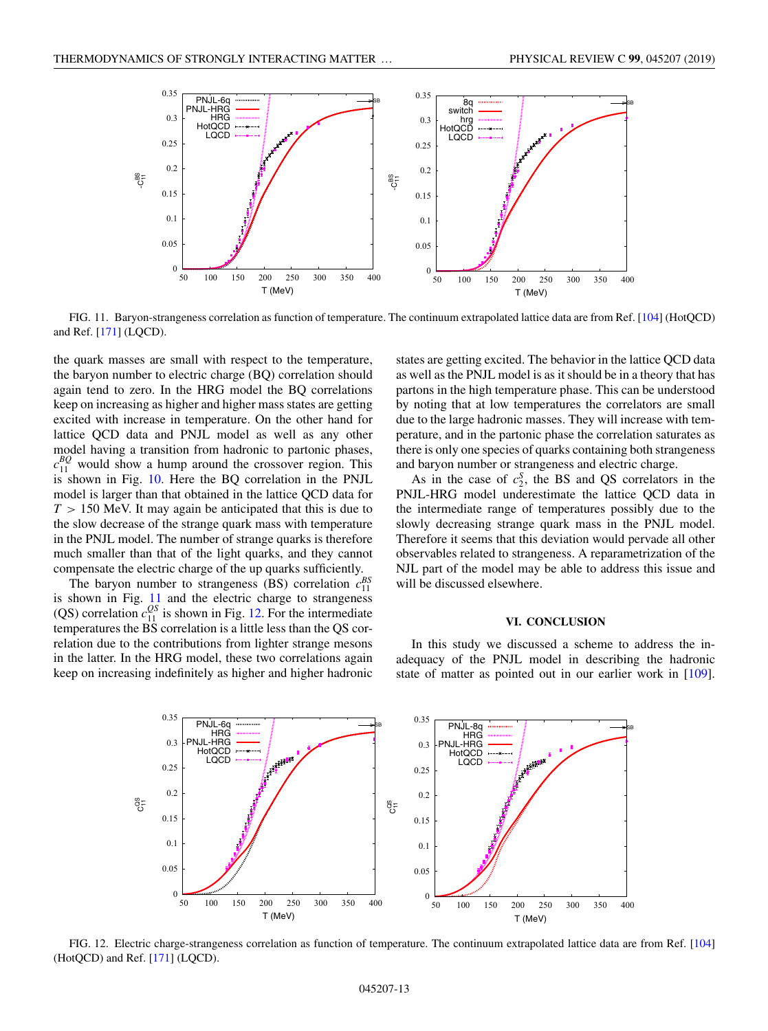<span id="page-12-0"></span>

FIG. 11. Baryon-strangeness correlation as function of temperature. The continuum extrapolated lattice data are from Ref. [\[104\]](#page-15-0) (HotQCD) and Ref. [\[171\]](#page-16-0) (LQCD).

the quark masses are small with respect to the temperature, the baryon number to electric charge (BQ) correlation should again tend to zero. In the HRG model the BQ correlations keep on increasing as higher and higher mass states are getting excited with increase in temperature. On the other hand for lattice QCD data and PNJL model as well as any other model having a transition from hadronic to partonic phases,  $c_{11}^{BQ}$  would show a hump around the crossover region. This is shown in Fig. [10.](#page-11-0) Here the BQ correlation in the PNJL model is larger than that obtained in the lattice QCD data for  $T > 150$  MeV. It may again be anticipated that this is due to the slow decrease of the strange quark mass with temperature in the PNJL model. The number of strange quarks is therefore much smaller than that of the light quarks, and they cannot compensate the electric charge of the up quarks sufficiently.

The baryon number to strangeness (BS) correlation  $c_{11}^{BS}$ is shown in Fig. 11 and the electric charge to strangeness (QS) correlation  $c_{11}^{QS}$  is shown in Fig. 12. For the intermediate temperatures the BS correlation is a little less than the QS correlation due to the contributions from lighter strange mesons in the latter. In the HRG model, these two correlations again keep on increasing indefinitely as higher and higher hadronic

states are getting excited. The behavior in the lattice QCD data as well as the PNJL model is as it should be in a theory that has partons in the high temperature phase. This can be understood by noting that at low temperatures the correlators are small due to the large hadronic masses. They will increase with temperature, and in the partonic phase the correlation saturates as there is only one species of quarks containing both strangeness and baryon number or strangeness and electric charge.

As in the case of  $c_2^S$ , the BS and QS correlators in the PNJL-HRG model underestimate the lattice QCD data in the intermediate range of temperatures possibly due to the slowly decreasing strange quark mass in the PNJL model. Therefore it seems that this deviation would pervade all other observables related to strangeness. A reparametrization of the NJL part of the model may be able to address this issue and will be discussed elsewhere.

## **VI. CONCLUSION**

In this study we discussed a scheme to address the inadequacy of the PNJL model in describing the hadronic state of matter as pointed out in our earlier work in [\[109\]](#page-15-0).



FIG. 12. Electric charge-strangeness correlation as function of temperature. The continuum extrapolated lattice data are from Ref. [\[104\]](#page-15-0) (HotQCD) and Ref. [\[171\]](#page-16-0) (LQCD).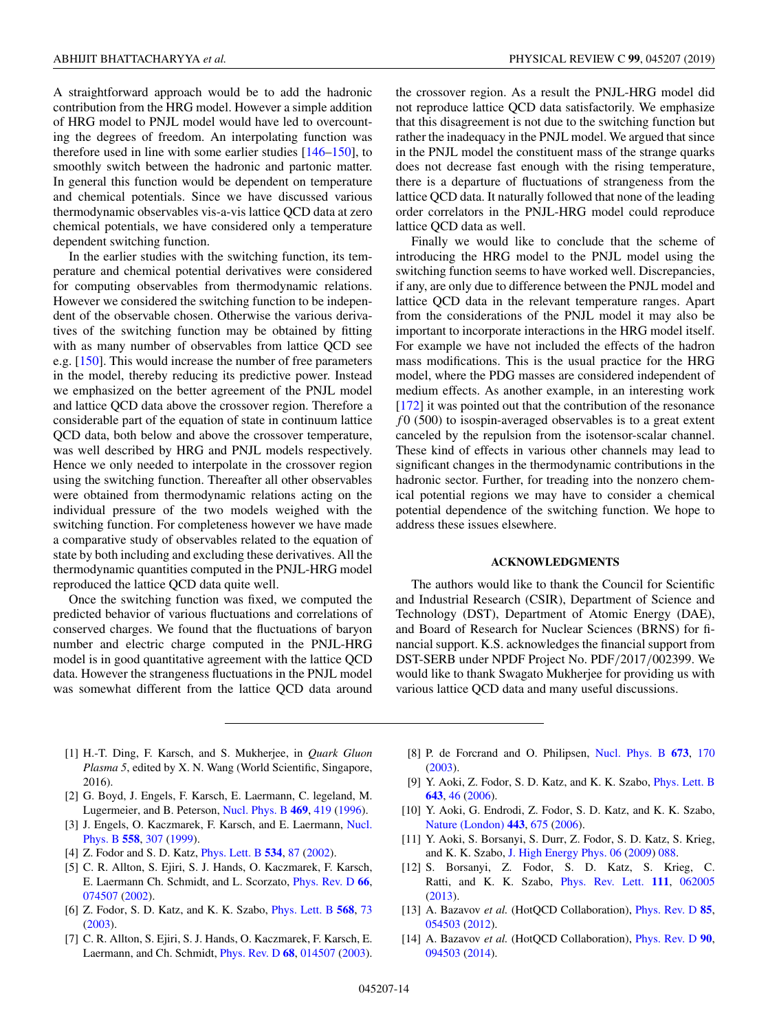<span id="page-13-0"></span>A straightforward approach would be to add the hadronic contribution from the HRG model. However a simple addition of HRG model to PNJL model would have led to overcounting the degrees of freedom. An interpolating function was therefore used in line with some earlier studies [\[146–150\]](#page-16-0), to smoothly switch between the hadronic and partonic matter. In general this function would be dependent on temperature and chemical potentials. Since we have discussed various thermodynamic observables vis-a-vis lattice QCD data at zero chemical potentials, we have considered only a temperature dependent switching function.

In the earlier studies with the switching function, its temperature and chemical potential derivatives were considered for computing observables from thermodynamic relations. However we considered the switching function to be independent of the observable chosen. Otherwise the various derivatives of the switching function may be obtained by fitting with as many number of observables from lattice QCD see e.g. [\[150\]](#page-16-0). This would increase the number of free parameters in the model, thereby reducing its predictive power. Instead we emphasized on the better agreement of the PNJL model and lattice QCD data above the crossover region. Therefore a considerable part of the equation of state in continuum lattice QCD data, both below and above the crossover temperature, was well described by HRG and PNJL models respectively. Hence we only needed to interpolate in the crossover region using the switching function. Thereafter all other observables were obtained from thermodynamic relations acting on the individual pressure of the two models weighed with the switching function. For completeness however we have made a comparative study of observables related to the equation of state by both including and excluding these derivatives. All the thermodynamic quantities computed in the PNJL-HRG model reproduced the lattice QCD data quite well.

Once the switching function was fixed, we computed the predicted behavior of various fluctuations and correlations of conserved charges. We found that the fluctuations of baryon number and electric charge computed in the PNJL-HRG model is in good quantitative agreement with the lattice QCD data. However the strangeness fluctuations in the PNJL model was somewhat different from the lattice QCD data around

the crossover region. As a result the PNJL-HRG model did not reproduce lattice QCD data satisfactorily. We emphasize that this disagreement is not due to the switching function but rather the inadequacy in the PNJL model. We argued that since in the PNJL model the constituent mass of the strange quarks does not decrease fast enough with the rising temperature, there is a departure of fluctuations of strangeness from the lattice QCD data. It naturally followed that none of the leading order correlators in the PNJL-HRG model could reproduce lattice QCD data as well.

Finally we would like to conclude that the scheme of introducing the HRG model to the PNJL model using the switching function seems to have worked well. Discrepancies, if any, are only due to difference between the PNJL model and lattice QCD data in the relevant temperature ranges. Apart from the considerations of the PNJL model it may also be important to incorporate interactions in the HRG model itself. For example we have not included the effects of the hadron mass modifications. This is the usual practice for the HRG model, where the PDG masses are considered independent of medium effects. As another example, in an interesting work [\[172\]](#page-16-0) it was pointed out that the contribution of the resonance *f* 0 (500) to isospin-averaged observables is to a great extent canceled by the repulsion from the isotensor-scalar channel. These kind of effects in various other channels may lead to significant changes in the thermodynamic contributions in the hadronic sector. Further, for treading into the nonzero chemical potential regions we may have to consider a chemical potential dependence of the switching function. We hope to address these issues elsewhere.

#### **ACKNOWLEDGMENTS**

The authors would like to thank the Council for Scientific and Industrial Research (CSIR), Department of Science and Technology (DST), Department of Atomic Energy (DAE), and Board of Research for Nuclear Sciences (BRNS) for financial support. K.S. acknowledges the financial support from DST-SERB under NPDF Project No. PDF/2017/002399. We would like to thank Swagato Mukherjee for providing us with various lattice QCD data and many useful discussions.

- [1] H.-T. Ding, F. Karsch, and S. Mukherjee, in *Quark Gluon Plasma 5*, edited by X. N. Wang (World Scientific, Singapore, 2016).
- [2] G. Boyd, J. Engels, F. Karsch, E. Laermann, C. legeland, M. Lugermeier, and B. Peterson, [Nucl. Phys. B](https://doi.org/10.1016/0550-3213(96)00170-8) **[469](https://doi.org/10.1016/0550-3213(96)00170-8)**, [419](https://doi.org/10.1016/0550-3213(96)00170-8) [\(1996\)](https://doi.org/10.1016/0550-3213(96)00170-8).
- [3] [J. Engels, O. Kaczmarek, F. Karsch, and E. Laermann,](https://doi.org/10.1016/S0550-3213(99)00395-8) Nucl. Phys. B **[558](https://doi.org/10.1016/S0550-3213(99)00395-8)**, [307](https://doi.org/10.1016/S0550-3213(99)00395-8) [\(1999\)](https://doi.org/10.1016/S0550-3213(99)00395-8).
- [4] Z. Fodor and S. D. Katz, [Phys. Lett. B](https://doi.org/10.1016/S0370-2693(02)01583-6) **[534](https://doi.org/10.1016/S0370-2693(02)01583-6)**, [87](https://doi.org/10.1016/S0370-2693(02)01583-6) [\(2002\)](https://doi.org/10.1016/S0370-2693(02)01583-6).
- [5] C. R. Allton, S. Ejiri, S. J. Hands, O. Kaczmarek, F. Karsch, E. Laermann Ch. Schmidt, and L. Scorzato, [Phys. Rev. D](https://doi.org/10.1103/PhysRevD.66.074507) **[66](https://doi.org/10.1103/PhysRevD.66.074507)**, [074507](https://doi.org/10.1103/PhysRevD.66.074507) [\(2002\)](https://doi.org/10.1103/PhysRevD.66.074507).
- [6] Z. Fodor, S. D. Katz, and K. K. Szabo, [Phys. Lett. B](https://doi.org/10.1016/j.physletb.2003.06.011) **[568](https://doi.org/10.1016/j.physletb.2003.06.011)**, [73](https://doi.org/10.1016/j.physletb.2003.06.011) [\(2003\)](https://doi.org/10.1016/j.physletb.2003.06.011).
- [7] C. R. Allton, S. Ejiri, S. J. Hands, O. Kaczmarek, F. Karsch, E. Laermann, and Ch. Schmidt, [Phys. Rev. D](https://doi.org/10.1103/PhysRevD.68.014507) **[68](https://doi.org/10.1103/PhysRevD.68.014507)**, [014507](https://doi.org/10.1103/PhysRevD.68.014507) [\(2003\)](https://doi.org/10.1103/PhysRevD.68.014507).
- [8] P. de Forcrand and O. Philipsen, [Nucl. Phys. B](https://doi.org/10.1016/j.nuclphysb.2003.09.005) **[673](https://doi.org/10.1016/j.nuclphysb.2003.09.005)**, [170](https://doi.org/10.1016/j.nuclphysb.2003.09.005) [\(2003\)](https://doi.org/10.1016/j.nuclphysb.2003.09.005).
- [9] Y. Aoki, Z. Fodor, S. D. Katz, and K. K. Szabo, [Phys. Lett. B](https://doi.org/10.1016/j.physletb.2006.10.021) **[643](https://doi.org/10.1016/j.physletb.2006.10.021)**, [46](https://doi.org/10.1016/j.physletb.2006.10.021) [\(2006\)](https://doi.org/10.1016/j.physletb.2006.10.021).
- [10] Y. Aoki, G. Endrodi, Z. Fodor, S. D. Katz, and K. K. Szabo, [Nature \(London\)](https://doi.org/10.1038/nature05120) **[443](https://doi.org/10.1038/nature05120)**, [675](https://doi.org/10.1038/nature05120) [\(2006\)](https://doi.org/10.1038/nature05120).
- [11] Y. Aoki, S. Borsanyi, S. Durr, Z. Fodor, S. D. Katz, S. Krieg, and K. K. Szabo, [J. High Energy Phys. 06](https://doi.org/10.1088/1126-6708/2009/06/088) [\(2009\)](https://doi.org/10.1088/1126-6708/2009/06/088) [088.](https://doi.org/10.1088/1126-6708/2009/06/088)
- [12] S. Borsanyi, Z. Fodor, S. D. Katz, S. Krieg, C. Ratti, and K. K. Szabo, [Phys. Rev. Lett.](https://doi.org/10.1103/PhysRevLett.111.062005) **[111](https://doi.org/10.1103/PhysRevLett.111.062005)**, [062005](https://doi.org/10.1103/PhysRevLett.111.062005) [\(2013\)](https://doi.org/10.1103/PhysRevLett.111.062005).
- [13] A. Bazavov *et al.* (HotQCD Collaboration), [Phys. Rev. D](https://doi.org/10.1103/PhysRevD.85.054503) **[85](https://doi.org/10.1103/PhysRevD.85.054503)**, [054503](https://doi.org/10.1103/PhysRevD.85.054503) [\(2012\)](https://doi.org/10.1103/PhysRevD.85.054503).
- [14] A. Bazavov *et al.* (HotQCD Collaboration), [Phys. Rev. D](https://doi.org/10.1103/PhysRevD.90.094503) **[90](https://doi.org/10.1103/PhysRevD.90.094503)**, [094503](https://doi.org/10.1103/PhysRevD.90.094503) [\(2014\)](https://doi.org/10.1103/PhysRevD.90.094503).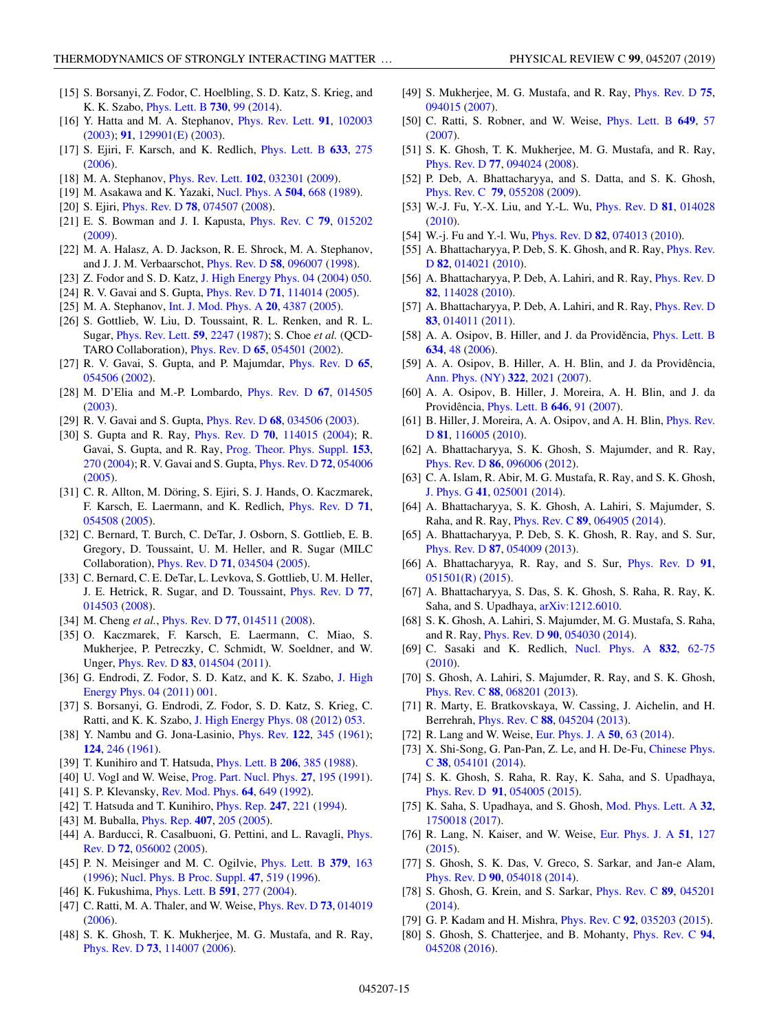- <span id="page-14-0"></span>[15] S. Borsanyi, Z. Fodor, C. Hoelbling, S. D. Katz, S. Krieg, and K. K. Szabo, [Phys. Lett. B](https://doi.org/10.1016/j.physletb.2014.01.007) **[730](https://doi.org/10.1016/j.physletb.2014.01.007)**, [99](https://doi.org/10.1016/j.physletb.2014.01.007) [\(2014\)](https://doi.org/10.1016/j.physletb.2014.01.007).
- [16] Y. Hatta and M. A. Stephanov, [Phys. Rev. Lett.](https://doi.org/10.1103/PhysRevLett.91.102003) **[91](https://doi.org/10.1103/PhysRevLett.91.102003)**, [102003](https://doi.org/10.1103/PhysRevLett.91.102003) [\(2003\)](https://doi.org/10.1103/PhysRevLett.91.102003); **[91](https://doi.org/10.1103/PhysRevLett.91.129901)**, [129901\(E\)](https://doi.org/10.1103/PhysRevLett.91.129901) [\(2003\)](https://doi.org/10.1103/PhysRevLett.91.129901).
- [17] S. Ejiri, F. Karsch, and K. Redlich, [Phys. Lett. B](https://doi.org/10.1016/j.physletb.2005.11.083) **[633](https://doi.org/10.1016/j.physletb.2005.11.083)**, [275](https://doi.org/10.1016/j.physletb.2005.11.083) [\(2006\)](https://doi.org/10.1016/j.physletb.2005.11.083).
- [18] M. A. Stephanov, [Phys. Rev. Lett.](https://doi.org/10.1103/PhysRevLett.102.032301) **[102](https://doi.org/10.1103/PhysRevLett.102.032301)**, [032301](https://doi.org/10.1103/PhysRevLett.102.032301) [\(2009\)](https://doi.org/10.1103/PhysRevLett.102.032301).
- [19] M. Asakawa and K. Yazaki, [Nucl. Phys. A](https://doi.org/10.1016/0375-9474(89)90002-X) **[504](https://doi.org/10.1016/0375-9474(89)90002-X)**, [668](https://doi.org/10.1016/0375-9474(89)90002-X) [\(1989\)](https://doi.org/10.1016/0375-9474(89)90002-X).
- [20] S. Ejiri, [Phys. Rev. D](https://doi.org/10.1103/PhysRevD.78.074507) **[78](https://doi.org/10.1103/PhysRevD.78.074507)**, [074507](https://doi.org/10.1103/PhysRevD.78.074507) [\(2008\)](https://doi.org/10.1103/PhysRevD.78.074507).
- [21] E. S. Bowman and J. I. Kapusta, [Phys. Rev. C](https://doi.org/10.1103/PhysRevC.79.015202) **[79](https://doi.org/10.1103/PhysRevC.79.015202)**, [015202](https://doi.org/10.1103/PhysRevC.79.015202) [\(2009\)](https://doi.org/10.1103/PhysRevC.79.015202).
- [22] M. A. Halasz, A. D. Jackson, R. E. Shrock, M. A. Stephanov, and J. J. M. Verbaarschot, [Phys. Rev. D](https://doi.org/10.1103/PhysRevD.58.096007) **[58](https://doi.org/10.1103/PhysRevD.58.096007)**, [096007](https://doi.org/10.1103/PhysRevD.58.096007) [\(1998\)](https://doi.org/10.1103/PhysRevD.58.096007).
- [23] Z. Fodor and S. D. Katz, [J. High Energy Phys. 04](https://doi.org/10.1088/1126-6708/2004/04/050) [\(2004\)](https://doi.org/10.1088/1126-6708/2004/04/050) [050.](https://doi.org/10.1088/1126-6708/2004/04/050)
- [24] R. V. Gavai and S. Gupta, [Phys. Rev. D](https://doi.org/10.1103/PhysRevD.71.114014) **[71](https://doi.org/10.1103/PhysRevD.71.114014)**, [114014](https://doi.org/10.1103/PhysRevD.71.114014) [\(2005\)](https://doi.org/10.1103/PhysRevD.71.114014).
- [25] M. A. Stephanov, [Int. J. Mod. Phys. A](https://doi.org/10.1142/S0217751X05027965) **[20](https://doi.org/10.1142/S0217751X05027965)**, [4387](https://doi.org/10.1142/S0217751X05027965) [\(2005\)](https://doi.org/10.1142/S0217751X05027965).
- [26] S. Gottlieb, W. Liu, D. Toussaint, R. L. Renken, and R. L. Sugar, [Phys. Rev. Lett.](https://doi.org/10.1103/PhysRevLett.59.2247) **[59](https://doi.org/10.1103/PhysRevLett.59.2247)**, [2247](https://doi.org/10.1103/PhysRevLett.59.2247) [\(1987\)](https://doi.org/10.1103/PhysRevLett.59.2247); S. Choe *et al.* (QCD-TARO Collaboration), [Phys. Rev. D](https://doi.org/10.1103/PhysRevD.65.054501) **[65](https://doi.org/10.1103/PhysRevD.65.054501)**, [054501](https://doi.org/10.1103/PhysRevD.65.054501) [\(2002\)](https://doi.org/10.1103/PhysRevD.65.054501).
- [27] R. V. Gavai, S. Gupta, and P. Majumdar, [Phys. Rev. D](https://doi.org/10.1103/PhysRevD.65.054506) **[65](https://doi.org/10.1103/PhysRevD.65.054506)**, [054506](https://doi.org/10.1103/PhysRevD.65.054506) [\(2002\)](https://doi.org/10.1103/PhysRevD.65.054506).
- [28] M. D'Elia and M.-P. Lombardo, [Phys. Rev. D](https://doi.org/10.1103/PhysRevD.67.014505) **[67](https://doi.org/10.1103/PhysRevD.67.014505)**, [014505](https://doi.org/10.1103/PhysRevD.67.014505) [\(2003\)](https://doi.org/10.1103/PhysRevD.67.014505).
- [29] R. V. Gavai and S. Gupta, [Phys. Rev. D](https://doi.org/10.1103/PhysRevD.68.034506) **[68](https://doi.org/10.1103/PhysRevD.68.034506)**, [034506](https://doi.org/10.1103/PhysRevD.68.034506) [\(2003\)](https://doi.org/10.1103/PhysRevD.68.034506).
- [30] S. Gupta and R. Ray, [Phys. Rev. D](https://doi.org/10.1103/PhysRevD.70.114015) **[70](https://doi.org/10.1103/PhysRevD.70.114015)**, [114015](https://doi.org/10.1103/PhysRevD.70.114015) [\(2004\)](https://doi.org/10.1103/PhysRevD.70.114015); R. Gavai, S. Gupta, and R. Ray, [Prog. Theor. Phys. Suppl.](https://doi.org/10.1143/PTPS.153.270) **[153](https://doi.org/10.1143/PTPS.153.270)**, [270](https://doi.org/10.1143/PTPS.153.270) [\(2004\)](https://doi.org/10.1143/PTPS.153.270); R. V. Gavai and S. Gupta, [Phys. Rev. D](https://doi.org/10.1103/PhysRevD.72.054006) **[72](https://doi.org/10.1103/PhysRevD.72.054006)**, [054006](https://doi.org/10.1103/PhysRevD.72.054006) [\(2005\)](https://doi.org/10.1103/PhysRevD.72.054006).
- [31] C. R. Allton, M. Döring, S. Ejiri, S. J. Hands, O. Kaczmarek, F. Karsch, E. Laermann, and K. Redlich, [Phys. Rev. D](https://doi.org/10.1103/PhysRevD.71.054508) **[71](https://doi.org/10.1103/PhysRevD.71.054508)**, [054508](https://doi.org/10.1103/PhysRevD.71.054508) [\(2005\)](https://doi.org/10.1103/PhysRevD.71.054508).
- [32] C. Bernard, T. Burch, C. DeTar, J. Osborn, S. Gottlieb, E. B. Gregory, D. Toussaint, U. M. Heller, and R. Sugar (MILC Collaboration), [Phys. Rev. D](https://doi.org/10.1103/PhysRevD.71.034504) **[71](https://doi.org/10.1103/PhysRevD.71.034504)**, [034504](https://doi.org/10.1103/PhysRevD.71.034504) [\(2005\)](https://doi.org/10.1103/PhysRevD.71.034504).
- [33] C. Bernard, C. E. DeTar, L. Levkova, S. Gottlieb, U. M. Heller, J. E. Hetrick, R. Sugar, and D. Toussaint, [Phys. Rev. D](https://doi.org/10.1103/PhysRevD.77.014503) **[77](https://doi.org/10.1103/PhysRevD.77.014503)**, [014503](https://doi.org/10.1103/PhysRevD.77.014503) [\(2008\)](https://doi.org/10.1103/PhysRevD.77.014503).
- [34] M. Cheng *et al.*, [Phys. Rev. D](https://doi.org/10.1103/PhysRevD.77.014511) **[77](https://doi.org/10.1103/PhysRevD.77.014511)**, [014511](https://doi.org/10.1103/PhysRevD.77.014511) [\(2008\)](https://doi.org/10.1103/PhysRevD.77.014511).
- [35] O. Kaczmarek, F. Karsch, E. Laermann, C. Miao, S. Mukherjee, P. Petreczky, C. Schmidt, W. Soeldner, and W. Unger, [Phys. Rev. D](https://doi.org/10.1103/PhysRevD.83.014504) **[83](https://doi.org/10.1103/PhysRevD.83.014504)**, [014504](https://doi.org/10.1103/PhysRevD.83.014504) [\(2011\)](https://doi.org/10.1103/PhysRevD.83.014504).
- [36] [G. Endrodi, Z. Fodor, S. D. Katz, and K. K. Szabo,](https://doi.org/10.1007/JHEP04(2011)001) J. High Energy Phys. [04](https://doi.org/10.1007/JHEP04(2011)001) [\(2011\)](https://doi.org/10.1007/JHEP04(2011)001) [001.](https://doi.org/10.1007/JHEP04(2011)001)
- [37] S. Borsanyi, G. Endrodi, Z. Fodor, S. D. Katz, S. Krieg, C. Ratti, and K. K. Szabo, [J. High Energy Phys. 08](https://doi.org/10.1007/JHEP08(2012)053) [\(2012\)](https://doi.org/10.1007/JHEP08(2012)053) [053.](https://doi.org/10.1007/JHEP08(2012)053)
- [38] Y. Nambu and G. Jona-Lasinio, [Phys. Rev.](https://doi.org/10.1103/PhysRev.122.345) **[122](https://doi.org/10.1103/PhysRev.122.345)**, [345](https://doi.org/10.1103/PhysRev.122.345) [\(1961\)](https://doi.org/10.1103/PhysRev.122.345); **[124](https://doi.org/10.1103/PhysRev.124.246)**, [246](https://doi.org/10.1103/PhysRev.124.246) [\(1961\)](https://doi.org/10.1103/PhysRev.124.246).
- [39] T. Kunihiro and T. Hatsuda, [Phys. Lett. B](https://doi.org/10.1016/0370-2693(88)91596-1) **[206](https://doi.org/10.1016/0370-2693(88)91596-1)**, [385](https://doi.org/10.1016/0370-2693(88)91596-1) [\(1988\)](https://doi.org/10.1016/0370-2693(88)91596-1).
- [40] U. Vogl and W. Weise, [Prog. Part. Nucl. Phys.](https://doi.org/10.1016/0146-6410(91)90005-9) **[27](https://doi.org/10.1016/0146-6410(91)90005-9)**, [195](https://doi.org/10.1016/0146-6410(91)90005-9) [\(1991\)](https://doi.org/10.1016/0146-6410(91)90005-9).
- [41] S. P. Klevansky, [Rev. Mod. Phys.](https://doi.org/10.1103/RevModPhys.64.649) **[64](https://doi.org/10.1103/RevModPhys.64.649)**, [649](https://doi.org/10.1103/RevModPhys.64.649) [\(1992\)](https://doi.org/10.1103/RevModPhys.64.649).
- [42] T. Hatsuda and T. Kunihiro, [Phys. Rep.](https://doi.org/10.1016/0370-1573(94)90022-1) **[247](https://doi.org/10.1016/0370-1573(94)90022-1)**, [221](https://doi.org/10.1016/0370-1573(94)90022-1) [\(1994\)](https://doi.org/10.1016/0370-1573(94)90022-1).
- [43] M. Buballa, [Phys. Rep.](https://doi.org/10.1016/j.physrep.2004.11.004) **[407](https://doi.org/10.1016/j.physrep.2004.11.004)**, [205](https://doi.org/10.1016/j.physrep.2004.11.004) [\(2005\)](https://doi.org/10.1016/j.physrep.2004.11.004).
- [44] [A. Barducci, R. Casalbuoni, G. Pettini, and L. Ravagli,](https://doi.org/10.1103/PhysRevD.72.056002) *Phys.* Rev. D **[72](https://doi.org/10.1103/PhysRevD.72.056002)**, [056002](https://doi.org/10.1103/PhysRevD.72.056002) [\(2005\)](https://doi.org/10.1103/PhysRevD.72.056002).
- [45] P. N. Meisinger and M. C. Ogilvie, [Phys. Lett. B](https://doi.org/10.1016/0370-2693(96)00447-9) **[379](https://doi.org/10.1016/0370-2693(96)00447-9)**, [163](https://doi.org/10.1016/0370-2693(96)00447-9) [\(1996\)](https://doi.org/10.1016/0370-2693(96)00447-9); [Nucl. Phys. B Proc. Suppl.](https://doi.org/10.1016/0920-5632(96)00113-2) **[47](https://doi.org/10.1016/0920-5632(96)00113-2)**, [519](https://doi.org/10.1016/0920-5632(96)00113-2) [\(1996\)](https://doi.org/10.1016/0920-5632(96)00113-2).
- [46] K. Fukushima, [Phys. Lett. B](https://doi.org/10.1016/j.physletb.2004.04.027) **[591](https://doi.org/10.1016/j.physletb.2004.04.027)**, [277](https://doi.org/10.1016/j.physletb.2004.04.027) [\(2004\)](https://doi.org/10.1016/j.physletb.2004.04.027).
- [47] C. Ratti, M. A. Thaler, and W. Weise, [Phys. Rev. D](https://doi.org/10.1103/PhysRevD.73.014019) **[73](https://doi.org/10.1103/PhysRevD.73.014019)**, [014019](https://doi.org/10.1103/PhysRevD.73.014019) [\(2006\)](https://doi.org/10.1103/PhysRevD.73.014019).
- [48] S. K. Ghosh, T. K. Mukherjee, M. G. Mustafa, and R. Ray, [Phys. Rev. D](https://doi.org/10.1103/PhysRevD.73.114007) **[73](https://doi.org/10.1103/PhysRevD.73.114007)**, [114007](https://doi.org/10.1103/PhysRevD.73.114007) [\(2006\)](https://doi.org/10.1103/PhysRevD.73.114007).
- [49] S. Mukherjee, M. G. Mustafa, and R. Ray, [Phys. Rev. D](https://doi.org/10.1103/PhysRevD.75.094015) **[75](https://doi.org/10.1103/PhysRevD.75.094015)**, [094015](https://doi.org/10.1103/PhysRevD.75.094015) [\(2007\)](https://doi.org/10.1103/PhysRevD.75.094015).
- [50] C. Ratti, S. Robner, and W. Weise, [Phys. Lett. B](https://doi.org/10.1016/j.physletb.2007.03.038) **[649](https://doi.org/10.1016/j.physletb.2007.03.038)**, [57](https://doi.org/10.1016/j.physletb.2007.03.038) [\(2007\)](https://doi.org/10.1016/j.physletb.2007.03.038).
- [51] S. K. Ghosh, T. K. Mukherjee, M. G. Mustafa, and R. Ray, [Phys. Rev. D](https://doi.org/10.1103/PhysRevD.77.094024) **[77](https://doi.org/10.1103/PhysRevD.77.094024)**, [094024](https://doi.org/10.1103/PhysRevD.77.094024) [\(2008\)](https://doi.org/10.1103/PhysRevD.77.094024).
- [52] P. Deb, A. Bhattacharyya, and S. Datta, and S. K. Ghosh, [Phys. Rev. C](https://doi.org/10.1103/PhysRevC.79.055208) **[79](https://doi.org/10.1103/PhysRevC.79.055208)**, [055208](https://doi.org/10.1103/PhysRevC.79.055208) [\(2009\)](https://doi.org/10.1103/PhysRevC.79.055208).
- [53] W.-J. Fu, Y.-X. Liu, and Y.-L. Wu, [Phys. Rev. D](https://doi.org/10.1103/PhysRevD.81.014028) **[81](https://doi.org/10.1103/PhysRevD.81.014028)**, [014028](https://doi.org/10.1103/PhysRevD.81.014028) [\(2010\)](https://doi.org/10.1103/PhysRevD.81.014028).
- [54] W.-j. Fu and Y.-l. Wu, [Phys. Rev. D](https://doi.org/10.1103/PhysRevD.82.074013) **[82](https://doi.org/10.1103/PhysRevD.82.074013)**, [074013](https://doi.org/10.1103/PhysRevD.82.074013) [\(2010\)](https://doi.org/10.1103/PhysRevD.82.074013).
- [55] [A. Bhattacharyya, P. Deb, S. K. Ghosh, and R. Ray,](https://doi.org/10.1103/PhysRevD.82.014021) *Phys. Rev.* D **[82](https://doi.org/10.1103/PhysRevD.82.014021)**, [014021](https://doi.org/10.1103/PhysRevD.82.014021) [\(2010\)](https://doi.org/10.1103/PhysRevD.82.014021).
- [56] A. Bhattacharyya, P. Deb, A. Lahiri, and R. Ray, *[Phys. Rev. D](https://doi.org/10.1103/PhysRevD.82.114028)* **[82](https://doi.org/10.1103/PhysRevD.82.114028)**, [114028](https://doi.org/10.1103/PhysRevD.82.114028) [\(2010\)](https://doi.org/10.1103/PhysRevD.82.114028).
- [57] A. Bhattacharyya, P. Deb, A. Lahiri, and R. Ray, *[Phys. Rev. D](https://doi.org/10.1103/PhysRevD.83.014011)* **[83](https://doi.org/10.1103/PhysRevD.83.014011)**, [014011](https://doi.org/10.1103/PhysRevD.83.014011) [\(2011\)](https://doi.org/10.1103/PhysRevD.83.014011).
- [58] A. A. Osipov, B. Hiller, and J. da Providěncia, *[Phys. Lett. B](https://doi.org/10.1016/j.physletb.2006.01.008)* **[634](https://doi.org/10.1016/j.physletb.2006.01.008)**, [48](https://doi.org/10.1016/j.physletb.2006.01.008) [\(2006\)](https://doi.org/10.1016/j.physletb.2006.01.008).
- [59] A. A. Osipov, B. Hiller, A. H. Blin, and J. da Providência, [Ann. Phys. \(NY\)](https://doi.org/10.1016/j.aop.2006.08.004) **[322](https://doi.org/10.1016/j.aop.2006.08.004)**, [2021](https://doi.org/10.1016/j.aop.2006.08.004) [\(2007\)](https://doi.org/10.1016/j.aop.2006.08.004).
- [60] A. A. Osipov, B. Hiller, J. Moreira, A. H. Blin, and J. da Providência, [Phys. Lett. B](https://doi.org/10.1016/j.physletb.2007.01.026) **[646](https://doi.org/10.1016/j.physletb.2007.01.026)**, [91](https://doi.org/10.1016/j.physletb.2007.01.026) [\(2007\)](https://doi.org/10.1016/j.physletb.2007.01.026).
- [61] [B. Hiller, J. Moreira, A. A. Osipov, and A. H. Blin,](https://doi.org/10.1103/PhysRevD.81.116005) *Phys. Rev.* D **[81](https://doi.org/10.1103/PhysRevD.81.116005)**, [116005](https://doi.org/10.1103/PhysRevD.81.116005) [\(2010\)](https://doi.org/10.1103/PhysRevD.81.116005).
- [62] A. Bhattacharyya, S. K. Ghosh, S. Majumder, and R. Ray, [Phys. Rev. D](https://doi.org/10.1103/PhysRevD.86.096006) **[86](https://doi.org/10.1103/PhysRevD.86.096006)**, [096006](https://doi.org/10.1103/PhysRevD.86.096006) [\(2012\)](https://doi.org/10.1103/PhysRevD.86.096006).
- [63] C. A. Islam, R. Abir, M. G. Mustafa, R. Ray, and S. K. Ghosh, [J. Phys. G](https://doi.org/10.1088/0954-3899/41/2/025001) **[41](https://doi.org/10.1088/0954-3899/41/2/025001)**, [025001](https://doi.org/10.1088/0954-3899/41/2/025001) [\(2014\)](https://doi.org/10.1088/0954-3899/41/2/025001).
- [64] A. Bhattacharyya, S. K. Ghosh, A. Lahiri, S. Majumder, S. Raha, and R. Ray, [Phys. Rev. C](https://doi.org/10.1103/PhysRevC.89.064905) **[89](https://doi.org/10.1103/PhysRevC.89.064905)**, [064905](https://doi.org/10.1103/PhysRevC.89.064905) [\(2014\)](https://doi.org/10.1103/PhysRevC.89.064905).
- [65] A. Bhattacharyya, P. Deb, S. K. Ghosh, R. Ray, and S. Sur, [Phys. Rev. D](https://doi.org/10.1103/PhysRevD.87.054009) **[87](https://doi.org/10.1103/PhysRevD.87.054009)**, [054009](https://doi.org/10.1103/PhysRevD.87.054009) [\(2013\)](https://doi.org/10.1103/PhysRevD.87.054009).
- [66] A. Bhattacharyya, R. Ray, and S. Sur, [Phys. Rev. D](https://doi.org/10.1103/PhysRevD.91.051501) **[91](https://doi.org/10.1103/PhysRevD.91.051501)**, [051501\(R\)](https://doi.org/10.1103/PhysRevD.91.051501) [\(2015\)](https://doi.org/10.1103/PhysRevD.91.051501).
- [67] A. Bhattacharyya, S. Das, S. K. Ghosh, S. Raha, R. Ray, K. Saha, and S. Upadhaya, [arXiv:1212.6010.](http://arxiv.org/abs/arXiv:1212.6010)
- [68] S. K. Ghosh, A. Lahiri, S. Majumder, M. G. Mustafa, S. Raha, and R. Ray, [Phys. Rev. D](https://doi.org/10.1103/PhysRevD.90.054030) **[90](https://doi.org/10.1103/PhysRevD.90.054030)**, [054030](https://doi.org/10.1103/PhysRevD.90.054030) [\(2014\)](https://doi.org/10.1103/PhysRevD.90.054030).
- [69] C. Sasaki and K. Redlich, [Nucl. Phys. A](https://doi.org/10.1016/j.nuclphysa.2009.11.005) **[832](https://doi.org/10.1016/j.nuclphysa.2009.11.005)**, [62-75](https://doi.org/10.1016/j.nuclphysa.2009.11.005) [\(2010\)](https://doi.org/10.1016/j.nuclphysa.2009.11.005).
- [70] S. Ghosh, A. Lahiri, S. Majumder, R. Ray, and S. K. Ghosh, [Phys. Rev. C](https://doi.org/10.1103/PhysRevC.88.068201) **[88](https://doi.org/10.1103/PhysRevC.88.068201)**, [068201](https://doi.org/10.1103/PhysRevC.88.068201) [\(2013\)](https://doi.org/10.1103/PhysRevC.88.068201).
- [71] R. Marty, E. Bratkovskaya, W. Cassing, J. Aichelin, and H. Berrehrah, [Phys. Rev. C](https://doi.org/10.1103/PhysRevC.88.045204) **[88](https://doi.org/10.1103/PhysRevC.88.045204)**, [045204](https://doi.org/10.1103/PhysRevC.88.045204) [\(2013\)](https://doi.org/10.1103/PhysRevC.88.045204).
- [72] R. Lang and W. Weise, [Eur. Phys. J. A](https://doi.org/10.1140/epja/i2014-14063-4) **[50](https://doi.org/10.1140/epja/i2014-14063-4)**, [63](https://doi.org/10.1140/epja/i2014-14063-4) [\(2014\)](https://doi.org/10.1140/epja/i2014-14063-4).
- [73] [X. Shi-Song, G. Pan-Pan, Z. Le, and H. De-Fu,](https://doi.org/10.1088/1674-1137/38/5/054101) Chinese Phys. C **[38](https://doi.org/10.1088/1674-1137/38/5/054101)**, [054101](https://doi.org/10.1088/1674-1137/38/5/054101) [\(2014\)](https://doi.org/10.1088/1674-1137/38/5/054101).
- [74] S. K. Ghosh, S. Raha, R. Ray, K. Saha, and S. Upadhaya, [Phys. Rev. D](https://doi.org/10.1103/PhysRevD.91.054005) **[91](https://doi.org/10.1103/PhysRevD.91.054005)**, [054005](https://doi.org/10.1103/PhysRevD.91.054005) [\(2015\)](https://doi.org/10.1103/PhysRevD.91.054005).
- [75] K. Saha, S. Upadhaya, and S. Ghosh, [Mod. Phys. Lett. A](https://doi.org/10.1142/S0217732317500183) **[32](https://doi.org/10.1142/S0217732317500183)**, [1750018](https://doi.org/10.1142/S0217732317500183) [\(2017\)](https://doi.org/10.1142/S0217732317500183).
- [76] R. Lang, N. Kaiser, and W. Weise, [Eur. Phys. J. A](https://doi.org/10.1140/epja/i2015-15127-7) **[51](https://doi.org/10.1140/epja/i2015-15127-7)**, [127](https://doi.org/10.1140/epja/i2015-15127-7) [\(2015\)](https://doi.org/10.1140/epja/i2015-15127-7).
- [77] S. Ghosh, S. K. Das, V. Greco, S. Sarkar, and Jan-e Alam, [Phys. Rev. D](https://doi.org/10.1103/PhysRevD.90.054018) **[90](https://doi.org/10.1103/PhysRevD.90.054018)**, [054018](https://doi.org/10.1103/PhysRevD.90.054018) [\(2014\)](https://doi.org/10.1103/PhysRevD.90.054018).
- [78] S. Ghosh, G. Krein, and S. Sarkar, [Phys. Rev. C](https://doi.org/10.1103/PhysRevC.89.045201) **[89](https://doi.org/10.1103/PhysRevC.89.045201)**, [045201](https://doi.org/10.1103/PhysRevC.89.045201) [\(2014\)](https://doi.org/10.1103/PhysRevC.89.045201).
- [79] G. P. Kadam and H. Mishra, [Phys. Rev. C](https://doi.org/10.1103/PhysRevC.92.035203) **[92](https://doi.org/10.1103/PhysRevC.92.035203)**, [035203](https://doi.org/10.1103/PhysRevC.92.035203) [\(2015\)](https://doi.org/10.1103/PhysRevC.92.035203).
- [80] S. Ghosh, S. Chatterjee, and B. Mohanty, [Phys. Rev. C](https://doi.org/10.1103/PhysRevC.94.045208) **[94](https://doi.org/10.1103/PhysRevC.94.045208)**, [045208](https://doi.org/10.1103/PhysRevC.94.045208) [\(2016\)](https://doi.org/10.1103/PhysRevC.94.045208).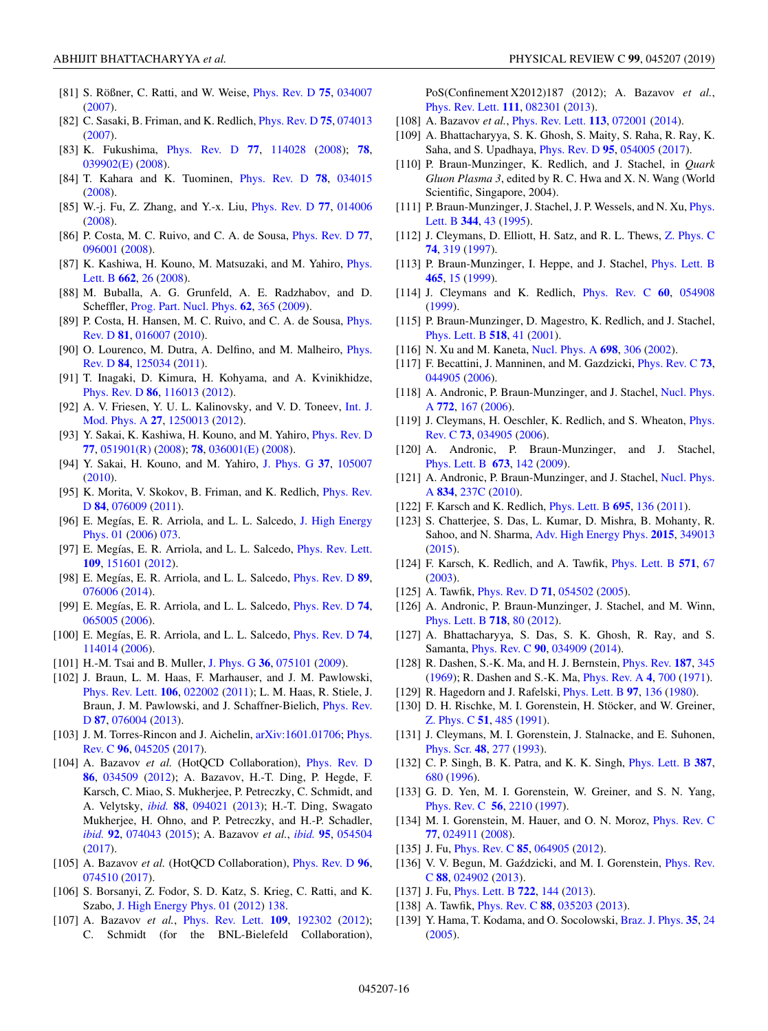- <span id="page-15-0"></span>[81] S. Rößner, C. Ratti, and W. Weise, [Phys. Rev. D](https://doi.org/10.1103/PhysRevD.75.034007) **[75](https://doi.org/10.1103/PhysRevD.75.034007)**, [034007](https://doi.org/10.1103/PhysRevD.75.034007) [\(2007\)](https://doi.org/10.1103/PhysRevD.75.034007).
- [82] C. Sasaki, B. Friman, and K. Redlich, [Phys. Rev. D](https://doi.org/10.1103/PhysRevD.75.074013) **[75](https://doi.org/10.1103/PhysRevD.75.074013)**, [074013](https://doi.org/10.1103/PhysRevD.75.074013) [\(2007\)](https://doi.org/10.1103/PhysRevD.75.074013).
- [83] K. Fukushima, [Phys. Rev. D](https://doi.org/10.1103/PhysRevD.77.114028) **[77](https://doi.org/10.1103/PhysRevD.77.114028)**, [114028](https://doi.org/10.1103/PhysRevD.77.114028) [\(2008\)](https://doi.org/10.1103/PhysRevD.77.114028); **[78](https://doi.org/10.1103/PhysRevD.78.039902)**, [039902\(E\)](https://doi.org/10.1103/PhysRevD.78.039902) [\(2008\)](https://doi.org/10.1103/PhysRevD.78.039902).
- [84] T. Kahara and K. Tuominen, [Phys. Rev. D](https://doi.org/10.1103/PhysRevD.78.034015) **[78](https://doi.org/10.1103/PhysRevD.78.034015)**, [034015](https://doi.org/10.1103/PhysRevD.78.034015) [\(2008\)](https://doi.org/10.1103/PhysRevD.78.034015).
- [85] W.-j. Fu, Z. Zhang, and Y.-x. Liu, [Phys. Rev. D](https://doi.org/10.1103/PhysRevD.77.014006) **[77](https://doi.org/10.1103/PhysRevD.77.014006)**, [014006](https://doi.org/10.1103/PhysRevD.77.014006) [\(2008\)](https://doi.org/10.1103/PhysRevD.77.014006).
- [86] P. Costa, M. C. Ruivo, and C. A. de Sousa, [Phys. Rev. D](https://doi.org/10.1103/PhysRevD.77.096001) **[77](https://doi.org/10.1103/PhysRevD.77.096001)**, [096001](https://doi.org/10.1103/PhysRevD.77.096001) [\(2008\)](https://doi.org/10.1103/PhysRevD.77.096001).
- [87] [K. Kashiwa, H. Kouno, M. Matsuzaki, and M. Yahiro,](https://doi.org/10.1016/j.physletb.2008.01.075) Phys. Lett. B **[662](https://doi.org/10.1016/j.physletb.2008.01.075)**, [26](https://doi.org/10.1016/j.physletb.2008.01.075) [\(2008\)](https://doi.org/10.1016/j.physletb.2008.01.075).
- [88] M. Buballa, A. G. Grunfeld, A. E. Radzhabov, and D. Scheffler, [Prog. Part. Nucl. Phys.](https://doi.org/10.1016/j.ppnp.2008.12.005) **[62](https://doi.org/10.1016/j.ppnp.2008.12.005)**, [365](https://doi.org/10.1016/j.ppnp.2008.12.005) [\(2009\)](https://doi.org/10.1016/j.ppnp.2008.12.005).
- [89] [P. Costa, H. Hansen, M. C. Ruivo, and C. A. de Sousa,](https://doi.org/10.1103/PhysRevD.81.016007) Phys. Rev. D **[81](https://doi.org/10.1103/PhysRevD.81.016007)**, [016007](https://doi.org/10.1103/PhysRevD.81.016007) [\(2010\)](https://doi.org/10.1103/PhysRevD.81.016007).
- [90] [O. Lourenco, M. Dutra, A. Delfino, and M. Malheiro,](https://doi.org/10.1103/PhysRevD.84.125034) Phys. Rev. D **[84](https://doi.org/10.1103/PhysRevD.84.125034)**, [125034](https://doi.org/10.1103/PhysRevD.84.125034) [\(2011\)](https://doi.org/10.1103/PhysRevD.84.125034).
- [91] T. Inagaki, D. Kimura, H. Kohyama, and A. Kvinikhidze, [Phys. Rev. D](https://doi.org/10.1103/PhysRevD.86.116013) **[86](https://doi.org/10.1103/PhysRevD.86.116013)**, [116013](https://doi.org/10.1103/PhysRevD.86.116013) [\(2012\)](https://doi.org/10.1103/PhysRevD.86.116013).
- [92] [A. V. Friesen, Y. U. L. Kalinovsky, and V. D. Toneev,](https://doi.org/10.1142/S0217751X12500133) Int. J. Mod. Phys. A **[27](https://doi.org/10.1142/S0217751X12500133)**, [1250013](https://doi.org/10.1142/S0217751X12500133) [\(2012\)](https://doi.org/10.1142/S0217751X12500133).
- [93] Y. Sakai, K. Kashiwa, H. Kouno, and M. Yahiro, [Phys. Rev. D](https://doi.org/10.1103/PhysRevD.77.051901) **[77](https://doi.org/10.1103/PhysRevD.77.051901)**, [051901\(R\)](https://doi.org/10.1103/PhysRevD.77.051901) [\(2008\)](https://doi.org/10.1103/PhysRevD.77.051901); **[78](https://doi.org/10.1103/PhysRevD.78.036001)**, [036001\(E\)](https://doi.org/10.1103/PhysRevD.78.036001) [\(2008\)](https://doi.org/10.1103/PhysRevD.78.036001).
- [94] Y. Sakai, H. Kouno, and M. Yahiro, [J. Phys. G](https://doi.org/10.1088/0954-3899/37/10/105007) **[37](https://doi.org/10.1088/0954-3899/37/10/105007)**, [105007](https://doi.org/10.1088/0954-3899/37/10/105007) [\(2010\)](https://doi.org/10.1088/0954-3899/37/10/105007).
- [95] [K. Morita, V. Skokov, B. Friman, and K. Redlich,](https://doi.org/10.1103/PhysRevD.84.076009) Phys. Rev. D **[84](https://doi.org/10.1103/PhysRevD.84.076009)**, [076009](https://doi.org/10.1103/PhysRevD.84.076009) [\(2011\)](https://doi.org/10.1103/PhysRevD.84.076009).
- [96] [E. Megías, E. R. Arriola, and L. L. Salcedo,](https://doi.org/10.1088/1126-6708/2006/01/073) J. High Energy Phys. [01](https://doi.org/10.1088/1126-6708/2006/01/073) [\(2006\)](https://doi.org/10.1088/1126-6708/2006/01/073) [073.](https://doi.org/10.1088/1126-6708/2006/01/073)
- [97] E. Megías, E. R. Arriola, and L. L. Salcedo, [Phys. Rev. Lett.](https://doi.org/10.1103/PhysRevLett.109.151601) **[109](https://doi.org/10.1103/PhysRevLett.109.151601)**, [151601](https://doi.org/10.1103/PhysRevLett.109.151601) [\(2012\)](https://doi.org/10.1103/PhysRevLett.109.151601).
- [98] E. Megías, E. R. Arriola, and L. L. Salcedo, [Phys. Rev. D](https://doi.org/10.1103/PhysRevD.89.076006) **[89](https://doi.org/10.1103/PhysRevD.89.076006)**, [076006](https://doi.org/10.1103/PhysRevD.89.076006) [\(2014\)](https://doi.org/10.1103/PhysRevD.89.076006).
- [99] E. Megías, E. R. Arriola, and L. L. Salcedo, [Phys. Rev. D](https://doi.org/10.1103/PhysRevD.74.065005) **[74](https://doi.org/10.1103/PhysRevD.74.065005)**, [065005](https://doi.org/10.1103/PhysRevD.74.065005) [\(2006\)](https://doi.org/10.1103/PhysRevD.74.065005).
- [100] E. Megías, E. R. Arriola, and L. L. Salcedo, [Phys. Rev. D](https://doi.org/10.1103/PhysRevD.74.114014) **[74](https://doi.org/10.1103/PhysRevD.74.114014)**, [114014](https://doi.org/10.1103/PhysRevD.74.114014) [\(2006\)](https://doi.org/10.1103/PhysRevD.74.114014).
- [101] H.-M. Tsai and B. Muller, [J. Phys. G](https://doi.org/10.1088/0954-3899/36/7/075101) **[36](https://doi.org/10.1088/0954-3899/36/7/075101)**, [075101](https://doi.org/10.1088/0954-3899/36/7/075101) [\(2009\)](https://doi.org/10.1088/0954-3899/36/7/075101).
- [102] J. Braun, L. M. Haas, F. Marhauser, and J. M. Pawlowski, [Phys. Rev. Lett.](https://doi.org/10.1103/PhysRevLett.106.022002) **[106](https://doi.org/10.1103/PhysRevLett.106.022002)**, [022002](https://doi.org/10.1103/PhysRevLett.106.022002) [\(2011\)](https://doi.org/10.1103/PhysRevLett.106.022002); L. M. Haas, R. Stiele, J. [Braun, J. M. Pawlowski, and J. Schaffner-Bielich,](https://doi.org/10.1103/PhysRevC.96.045205) Phys. Rev. D **[87](https://doi.org/10.1103/PhysRevC.96.045205)**, [076004](https://doi.org/10.1103/PhysRevC.96.045205) [\(2013\)](https://doi.org/10.1103/PhysRevC.96.045205).
- [103] [J. M. Torres-Rincon and J. Aichelin,](https://doi.org/10.1103/PhysRevC.96.045205)  $arXiv:1601.01706$ ; Phys. Rev. C **[96](https://doi.org/10.1103/PhysRevC.96.045205)**, [045205](https://doi.org/10.1103/PhysRevC.96.045205) [\(2017\)](https://doi.org/10.1103/PhysRevC.96.045205).
- [104] A. Bazavov *et al.* (HotQCD Collaboration), *[Phys. Rev. D](https://doi.org/10.1103/PhysRevD.86.034509)* **[86](https://doi.org/10.1103/PhysRevD.86.034509)**, [034509](https://doi.org/10.1103/PhysRevD.86.034509) [\(2012\)](https://doi.org/10.1103/PhysRevD.86.034509); A. Bazavov, H.-T. Ding, P. Hegde, F. Karsch, C. Miao, S. Mukherjee, P. Petreczky, C. Schmidt, and A. Velytsky, *[ibid.](https://doi.org/10.1103/PhysRevD.88.094021)* **[88](https://doi.org/10.1103/PhysRevD.88.094021)**, [094021](https://doi.org/10.1103/PhysRevD.88.094021) [\(2013\)](https://doi.org/10.1103/PhysRevD.88.094021); H.-T. Ding, Swagato Mukherjee, H. Ohno, and P. Petreczky, and H.-P. Schadler, *[ibid.](https://doi.org/10.1103/PhysRevD.92.074043)* **[92](https://doi.org/10.1103/PhysRevD.92.074043)**, [074043](https://doi.org/10.1103/PhysRevD.92.074043) [\(2015\)](https://doi.org/10.1103/PhysRevD.92.074043); A. Bazavov *et al.*, *[ibid.](https://doi.org/10.1103/PhysRevD.95.054504)* **[95](https://doi.org/10.1103/PhysRevD.95.054504)**, [054504](https://doi.org/10.1103/PhysRevD.95.054504) [\(2017\)](https://doi.org/10.1103/PhysRevD.95.054504).
- [105] A. Bazavov *et al.* (HotQCD Collaboration), [Phys. Rev. D](https://doi.org/10.1103/PhysRevD.96.074510) **[96](https://doi.org/10.1103/PhysRevD.96.074510)**, [074510](https://doi.org/10.1103/PhysRevD.96.074510) [\(2017\)](https://doi.org/10.1103/PhysRevD.96.074510).
- [106] S. Borsanyi, Z. Fodor, S. D. Katz, S. Krieg, C. Ratti, and K. Szabo, [J. High Energy Phys. 01](https://doi.org/10.1007/JHEP01(2012)138) [\(2012\)](https://doi.org/10.1007/JHEP01(2012)138) [138.](https://doi.org/10.1007/JHEP01(2012)138)
- [107] A. Bazavov *et al.*, [Phys. Rev. Lett.](https://doi.org/10.1103/PhysRevLett.109.192302) **[109](https://doi.org/10.1103/PhysRevLett.109.192302)**, [192302](https://doi.org/10.1103/PhysRevLett.109.192302) [\(2012\)](https://doi.org/10.1103/PhysRevLett.109.192302); C. Schmidt (for the BNL-Bielefeld Collaboration),

PoS(Confinement X2012)187 (2012); A. Bazavov *et al.*, [Phys. Rev. Lett.](https://doi.org/10.1103/PhysRevLett.111.082301) **[111](https://doi.org/10.1103/PhysRevLett.111.082301)**, [082301](https://doi.org/10.1103/PhysRevLett.111.082301) [\(2013\)](https://doi.org/10.1103/PhysRevLett.111.082301).

- [108] A. Bazavov *et al.*, [Phys. Rev. Lett.](https://doi.org/10.1103/PhysRevLett.113.072001) **[113](https://doi.org/10.1103/PhysRevLett.113.072001)**, [072001](https://doi.org/10.1103/PhysRevLett.113.072001) [\(2014\)](https://doi.org/10.1103/PhysRevLett.113.072001).
- [109] A. Bhattacharyya, S. K. Ghosh, S. Maity, S. Raha, R. Ray, K. Saha, and S. Upadhaya, [Phys. Rev. D](https://doi.org/10.1103/PhysRevD.95.054005) **[95](https://doi.org/10.1103/PhysRevD.95.054005)**, [054005](https://doi.org/10.1103/PhysRevD.95.054005) [\(2017\)](https://doi.org/10.1103/PhysRevD.95.054005).
- [110] P. Braun-Munzinger, K. Redlich, and J. Stachel, in *Quark Gluon Plasma 3*, edited by R. C. Hwa and X. N. Wang (World Scientific, Singapore, 2004).
- [111] [P. Braun-Munzinger, J. Stachel, J. P. Wessels, and N. Xu,](https://doi.org/10.1016/0370-2693(94)01534-J) *Phys.* Lett. B **[344](https://doi.org/10.1016/0370-2693(94)01534-J)**, [43](https://doi.org/10.1016/0370-2693(94)01534-J) [\(1995\)](https://doi.org/10.1016/0370-2693(94)01534-J).
- [112] J. Cleymans, D. Elliott, H. Satz, and R. L. Thews, [Z. Phys. C](https://doi.org/10.1007/s002880050393) **[74](https://doi.org/10.1007/s002880050393)**, [319](https://doi.org/10.1007/s002880050393) [\(1997\)](https://doi.org/10.1007/s002880050393).
- [113] P. Braun-Munzinger, I. Heppe, and J. Stachel, *[Phys. Lett. B](https://doi.org/10.1016/S0370-2693(99)01076-X)* **[465](https://doi.org/10.1016/S0370-2693(99)01076-X)**, [15](https://doi.org/10.1016/S0370-2693(99)01076-X) [\(1999\)](https://doi.org/10.1016/S0370-2693(99)01076-X).
- [114] J. Cleymans and K. Redlich, [Phys. Rev. C](https://doi.org/10.1103/PhysRevC.60.054908) **[60](https://doi.org/10.1103/PhysRevC.60.054908)**, [054908](https://doi.org/10.1103/PhysRevC.60.054908) [\(1999\)](https://doi.org/10.1103/PhysRevC.60.054908).
- [115] P. Braun-Munzinger, D. Magestro, K. Redlich, and J. Stachel, [Phys. Lett. B](https://doi.org/10.1016/S0370-2693(01)01069-3) **[518](https://doi.org/10.1016/S0370-2693(01)01069-3)**, [41](https://doi.org/10.1016/S0370-2693(01)01069-3) [\(2001\)](https://doi.org/10.1016/S0370-2693(01)01069-3).
- [116] N. Xu and M. Kaneta, [Nucl. Phys. A](https://doi.org/10.1016/S0375-9474(01)01377-X) **[698](https://doi.org/10.1016/S0375-9474(01)01377-X)**, [306](https://doi.org/10.1016/S0375-9474(01)01377-X) [\(2002\)](https://doi.org/10.1016/S0375-9474(01)01377-X).
- [117] F. Becattini, J. Manninen, and M. Gazdzicki, [Phys. Rev. C](https://doi.org/10.1103/PhysRevC.73.044905) **[73](https://doi.org/10.1103/PhysRevC.73.044905)**, [044905](https://doi.org/10.1103/PhysRevC.73.044905) [\(2006\)](https://doi.org/10.1103/PhysRevC.73.044905).
- [118] [A. Andronic, P. Braun-Munzinger, and J. Stachel,](https://doi.org/10.1016/j.nuclphysa.2006.03.012) Nucl. Phys. A **[772](https://doi.org/10.1016/j.nuclphysa.2006.03.012)**, [167](https://doi.org/10.1016/j.nuclphysa.2006.03.012) [\(2006\)](https://doi.org/10.1016/j.nuclphysa.2006.03.012).
- [119] [J. Cleymans, H. Oeschler, K. Redlich, and S. Wheaton,](https://doi.org/10.1103/PhysRevC.73.034905) *Phys.* Rev. C **[73](https://doi.org/10.1103/PhysRevC.73.034905)**, [034905](https://doi.org/10.1103/PhysRevC.73.034905) [\(2006\)](https://doi.org/10.1103/PhysRevC.73.034905).
- [120] A. Andronic, P. Braun-Munzinger, and J. Stachel, [Phys. Lett. B](https://doi.org/10.1016/j.physletb.2009.02.014) **[673](https://doi.org/10.1016/j.physletb.2009.02.014)**, [142](https://doi.org/10.1016/j.physletb.2009.02.014) [\(2009\)](https://doi.org/10.1016/j.physletb.2009.02.014).
- [121] [A. Andronic, P. Braun-Munzinger, and J. Stachel,](https://doi.org/10.1016/j.nuclphysa.2009.12.048) Nucl. Phys. A **[834](https://doi.org/10.1016/j.nuclphysa.2009.12.048)**, [237C](https://doi.org/10.1016/j.nuclphysa.2009.12.048) [\(2010\)](https://doi.org/10.1016/j.nuclphysa.2009.12.048).
- [122] F. Karsch and K. Redlich, [Phys. Lett. B](https://doi.org/10.1016/j.physletb.2010.10.046) **[695](https://doi.org/10.1016/j.physletb.2010.10.046)**, [136](https://doi.org/10.1016/j.physletb.2010.10.046) [\(2011\)](https://doi.org/10.1016/j.physletb.2010.10.046).
- [123] S. Chatterjee, S. Das, L. Kumar, D. Mishra, B. Mohanty, R. Sahoo, and N. Sharma, [Adv. High Energy Phys.](https://doi.org/10.1155/2015/349013) **[2015](https://doi.org/10.1155/2015/349013)**, [349013](https://doi.org/10.1155/2015/349013) [\(2015\)](https://doi.org/10.1155/2015/349013).
- [124] F. Karsch, K. Redlich, and A. Tawfik, [Phys. Lett. B](https://doi.org/10.1016/j.physletb.2003.08.001) **[571](https://doi.org/10.1016/j.physletb.2003.08.001)**, [67](https://doi.org/10.1016/j.physletb.2003.08.001) [\(2003\)](https://doi.org/10.1016/j.physletb.2003.08.001).
- [125] A. Tawfik, [Phys. Rev. D](https://doi.org/10.1103/PhysRevD.71.054502) **[71](https://doi.org/10.1103/PhysRevD.71.054502)**, [054502](https://doi.org/10.1103/PhysRevD.71.054502) [\(2005\)](https://doi.org/10.1103/PhysRevD.71.054502).
- [126] A. Andronic, P. Braun-Munzinger, J. Stachel, and M. Winn, [Phys. Lett. B](https://doi.org/10.1016/j.physletb.2012.10.001) **[718](https://doi.org/10.1016/j.physletb.2012.10.001)**, [80](https://doi.org/10.1016/j.physletb.2012.10.001) [\(2012\)](https://doi.org/10.1016/j.physletb.2012.10.001).
- [127] A. Bhattacharyya, S. Das, S. K. Ghosh, R. Ray, and S. Samanta, [Phys. Rev. C](https://doi.org/10.1103/PhysRevC.90.034909) **[90](https://doi.org/10.1103/PhysRevC.90.034909)**, [034909](https://doi.org/10.1103/PhysRevC.90.034909) [\(2014\)](https://doi.org/10.1103/PhysRevC.90.034909).
- [128] R. Dashen, S.-K. Ma, and H. J. Bernstein, [Phys. Rev.](https://doi.org/10.1103/PhysRev.187.345) **[187](https://doi.org/10.1103/PhysRev.187.345)**, [345](https://doi.org/10.1103/PhysRev.187.345) [\(1969\)](https://doi.org/10.1103/PhysRev.187.345); R. Dashen and S.-K. Ma, [Phys. Rev. A](https://doi.org/10.1103/PhysRevA.4.700) **[4](https://doi.org/10.1103/PhysRevA.4.700)**, [700](https://doi.org/10.1103/PhysRevA.4.700) [\(1971\)](https://doi.org/10.1103/PhysRevA.4.700).
- [129] R. Hagedorn and J. Rafelski, [Phys. Lett. B](https://doi.org/10.1016/0370-2693(80)90566-3) **[97](https://doi.org/10.1016/0370-2693(80)90566-3)**, [136](https://doi.org/10.1016/0370-2693(80)90566-3) [\(1980\)](https://doi.org/10.1016/0370-2693(80)90566-3).
- [130] D. H. Rischke, M. I. Gorenstein, H. Stöcker, and W. Greiner, [Z. Phys. C](https://doi.org/10.1007/BF01548574) **[51](https://doi.org/10.1007/BF01548574)**, [485](https://doi.org/10.1007/BF01548574) [\(1991\)](https://doi.org/10.1007/BF01548574).
- [131] J. Cleymans, M. I. Gorenstein, J. Stalnacke, and E. Suhonen, [Phys. Scr.](https://doi.org/10.1088/0031-8949/48/3/004) **[48](https://doi.org/10.1088/0031-8949/48/3/004)**, [277](https://doi.org/10.1088/0031-8949/48/3/004) [\(1993\)](https://doi.org/10.1088/0031-8949/48/3/004).
- [132] C. P. Singh, B. K. Patra, and K. K. Singh, [Phys. Lett. B](https://doi.org/10.1016/0370-2693(96)01117-3) **[387](https://doi.org/10.1016/0370-2693(96)01117-3)**, [680](https://doi.org/10.1016/0370-2693(96)01117-3) [\(1996\)](https://doi.org/10.1016/0370-2693(96)01117-3).
- [133] G. D. Yen, M. I. Gorenstein, W. Greiner, and S. N. Yang, [Phys. Rev. C](https://doi.org/10.1103/PhysRevC.56.2210) **[56](https://doi.org/10.1103/PhysRevC.56.2210)**, [2210](https://doi.org/10.1103/PhysRevC.56.2210) [\(1997\)](https://doi.org/10.1103/PhysRevC.56.2210).
- [134] M. I. Gorenstein, M. Hauer, and O. N. Moroz, *[Phys. Rev. C](https://doi.org/10.1103/PhysRevC.77.024911)* **[77](https://doi.org/10.1103/PhysRevC.77.024911)**, [024911](https://doi.org/10.1103/PhysRevC.77.024911) [\(2008\)](https://doi.org/10.1103/PhysRevC.77.024911).
- [135] J. Fu, [Phys. Rev. C](https://doi.org/10.1103/PhysRevC.85.064905) **[85](https://doi.org/10.1103/PhysRevC.85.064905)**, [064905](https://doi.org/10.1103/PhysRevC.85.064905) [\(2012\)](https://doi.org/10.1103/PhysRevC.85.064905).
- [136] V. V. Begun, M. Gaździcki, and M. I. Gorenstein, *Phys. Rev.* C **[88](https://doi.org/10.1103/PhysRevC.88.024902)**, [024902](https://doi.org/10.1103/PhysRevC.88.024902) [\(2013\)](https://doi.org/10.1103/PhysRevC.88.024902).
- [137] J. Fu, [Phys. Lett. B](https://doi.org/10.1016/j.physletb.2013.04.018) **[722](https://doi.org/10.1016/j.physletb.2013.04.018)**, [144](https://doi.org/10.1016/j.physletb.2013.04.018) [\(2013\)](https://doi.org/10.1016/j.physletb.2013.04.018).
- [138] A. Tawfik, [Phys. Rev. C](https://doi.org/10.1103/PhysRevC.88.035203) **[88](https://doi.org/10.1103/PhysRevC.88.035203)**, [035203](https://doi.org/10.1103/PhysRevC.88.035203) [\(2013\)](https://doi.org/10.1103/PhysRevC.88.035203).
- [139] Y. Hama, T. Kodama, and O. Socolowski, [Braz. J. Phys.](https://doi.org/10.1590/S0103-97332005000100003) **[35](https://doi.org/10.1590/S0103-97332005000100003)**, [24](https://doi.org/10.1590/S0103-97332005000100003) [\(2005\)](https://doi.org/10.1590/S0103-97332005000100003).